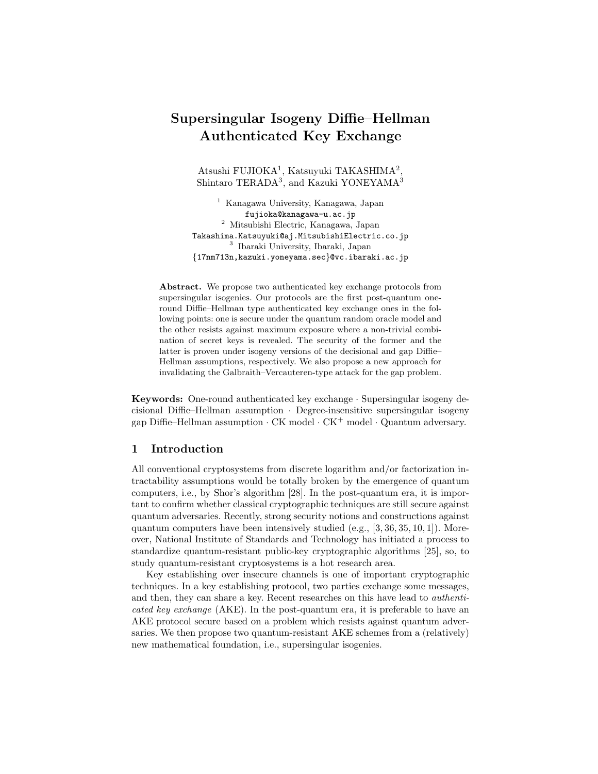# **Supersingular Isogeny Diffie–Hellman Authenticated Key Exchange**

Atsushi FUJIOKA<sup>1</sup>, Katsuyuki TAKASHIMA<sup>2</sup>, Shintaro TERADA<sup>3</sup>, and Kazuki YONEYAMA<sup>3</sup>

<sup>1</sup> Kanagawa University, Kanagawa, Japan fujioka@kanagawa-u.ac.jp <sup>2</sup> Mitsubishi Electric, Kanagawa, Japan Takashima.Katsuyuki@aj.MitsubishiElectric.co.jp 3 Ibaraki University, Ibaraki, Japan *{*17nm713n,kazuki.yoneyama.sec*}*@vc.ibaraki.ac.jp

Abstract. We propose two authenticated key exchange protocols from supersingular isogenies. Our protocols are the first post-quantum oneround Diffie–Hellman type authenticated key exchange ones in the following points: one is secure under the quantum random oracle model and the other resists against maximum exposure where a non-trivial combination of secret keys is revealed. The security of the former and the latter is proven under isogeny versions of the decisional and gap Diffie– Hellman assumptions, respectively. We also propose a new approach for invalidating the Galbraith–Vercauteren-type attack for the gap problem.

**Keywords:** One-round authenticated key exchange *·* Supersingular isogeny decisional Diffie–Hellman assumption *·* Degree-insensitive supersingular isogeny gap Diffie–Hellman assumption *·* CK model *·* CK<sup>+</sup> model *·* Quantum adversary.

# **1 Introduction**

All conventional cryptosystems from discrete logarithm and/or factorization intractability assumptions would be totally broken by the emergence of quantum computers, i.e., by Shor's algorithm [28]. In the post-quantum era, it is important to confirm whether classical cryptographic techniques are still secure against quantum adversaries. Recently, strong security notions and constructions against quantum computers have been intensively studied  $(e.g., [3, 36, 35, 10, 1])$ . Moreover, National Institute of Standards and Technology has initiated a process to standardize quantum-resistant public-key cryptographic algorithms [25], so, to study quantum-resistant cryptosystems is a hot research area.

Key establishing over insecure channels is one of important cryptographic techniques. In a key establishing protocol, two parties exchange some messages, and then, they can share a key. Recent researches on this have lead to *authenticated key exchange* (AKE). In the post-quantum era, it is preferable to have an AKE protocol secure based on a problem which resists against quantum adversaries. We then propose two quantum-resistant AKE schemes from a (relatively) new mathematical foundation, i.e., supersingular isogenies.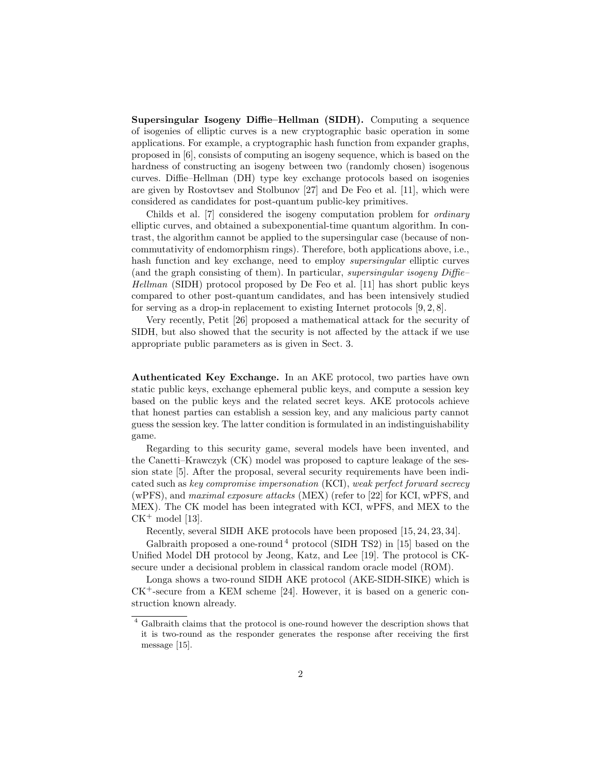**Supersingular Isogeny Diffie–Hellman (SIDH).** Computing a sequence of isogenies of elliptic curves is a new cryptographic basic operation in some applications. For example, a cryptographic hash function from expander graphs, proposed in [6], consists of computing an isogeny sequence, which is based on the hardness of constructing an isogeny between two (randomly chosen) isogenous curves. Diffie–Hellman (DH) type key exchange protocols based on isogenies are given by Rostovtsev and Stolbunov [27] and De Feo et al. [11], which were considered as candidates for post-quantum public-key primitives.

Childs et al. [7] considered the isogeny computation problem for *ordinary* elliptic curves, and obtained a subexponential-time quantum algorithm. In contrast, the algorithm cannot be applied to the supersingular case (because of noncommutativity of endomorphism rings). Therefore, both applications above, i.e., hash function and key exchange, need to employ *supersingular* elliptic curves (and the graph consisting of them). In particular, *supersingular isogeny Diffie– Hellman* (SIDH) protocol proposed by De Feo et al. [11] has short public keys compared to other post-quantum candidates, and has been intensively studied for serving as a drop-in replacement to existing Internet protocols [9, 2, 8].

Very recently, Petit [26] proposed a mathematical attack for the security of SIDH, but also showed that the security is not affected by the attack if we use appropriate public parameters as is given in Sect. 3.

**Authenticated Key Exchange.** In an AKE protocol, two parties have own static public keys, exchange ephemeral public keys, and compute a session key based on the public keys and the related secret keys. AKE protocols achieve that honest parties can establish a session key, and any malicious party cannot guess the session key. The latter condition is formulated in an indistinguishability game.

Regarding to this security game, several models have been invented, and the Canetti–Krawczyk (CK) model was proposed to capture leakage of the session state [5]. After the proposal, several security requirements have been indicated such as *key compromise impersonation* (KCI), *weak perfect forward secrecy* (wPFS), and *maximal exposure attacks* (MEX) (refer to [22] for KCI, wPFS, and MEX). The CK model has been integrated with KCI, wPFS, and MEX to the  $CK^+$  model [13].

Recently, several SIDH AKE protocols have been proposed [15, 24, 23, 34].

Galbraith proposed a one-round  $4$  protocol (SIDH TS2) in [15] based on the Unified Model DH protocol by Jeong, Katz, and Lee [19]. The protocol is CKsecure under a decisional problem in classical random oracle model (ROM).

Longa shows a two-round SIDH AKE protocol (AKE-SIDH-SIKE) which is  $CK^+$ -secure from a KEM scheme [24]. However, it is based on a generic construction known already.

<sup>4</sup> Galbraith claims that the protocol is one-round however the description shows that it is two-round as the responder generates the response after receiving the first message [15].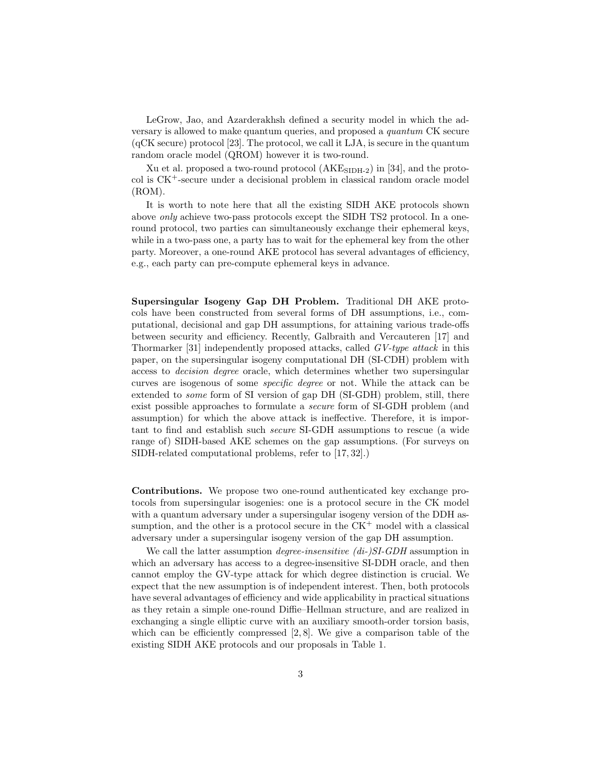LeGrow, Jao, and Azarderakhsh defined a security model in which the adversary is allowed to make quantum queries, and proposed a *quantum* CK secure (qCK secure) protocol [23]. The protocol, we call it LJA, is secure in the quantum random oracle model (QROM) however it is two-round.

Xu et al. proposed a two-round protocol  $(AKE<sub>SIDH-2</sub>)$  in [34], and the protocol is CK<sup>+</sup>-secure under a decisional problem in classical random oracle model (ROM).

It is worth to note here that all the existing SIDH AKE protocols shown above *only* achieve two-pass protocols except the SIDH TS2 protocol. In a oneround protocol, two parties can simultaneously exchange their ephemeral keys, while in a two-pass one, a party has to wait for the ephemeral key from the other party. Moreover, a one-round AKE protocol has several advantages of efficiency, e.g., each party can pre-compute ephemeral keys in advance.

**Supersingular Isogeny Gap DH Problem.** Traditional DH AKE protocols have been constructed from several forms of DH assumptions, i.e., computational, decisional and gap DH assumptions, for attaining various trade-offs between security and efficiency. Recently, Galbraith and Vercauteren [17] and Thormarker [31] independently proposed attacks, called *GV-type attack* in this paper, on the supersingular isogeny computational DH (SI-CDH) problem with access to *decision degree* oracle, which determines whether two supersingular curves are isogenous of some *specific degree* or not. While the attack can be extended to *some* form of SI version of gap DH (SI-GDH) problem, still, there exist possible approaches to formulate a *secure* form of SI-GDH problem (and assumption) for which the above attack is ineffective. Therefore, it is important to find and establish such *secure* SI-GDH assumptions to rescue (a wide range of) SIDH-based AKE schemes on the gap assumptions. (For surveys on SIDH-related computational problems, refer to [17, 32].)

**Contributions.** We propose two one-round authenticated key exchange protocols from supersingular isogenies: one is a protocol secure in the CK model with a quantum adversary under a supersingular isogeny version of the DDH assumption, and the other is a protocol secure in the  $CK^+$  model with a classical adversary under a supersingular isogeny version of the gap DH assumption.

We call the latter assumption *degree-insensitive (di-)SI-GDH* assumption in which an adversary has access to a degree-insensitive SI-DDH oracle, and then cannot employ the GV-type attack for which degree distinction is crucial. We expect that the new assumption is of independent interest. Then, both protocols have several advantages of efficiency and wide applicability in practical situations as they retain a simple one-round Diffie–Hellman structure, and are realized in exchanging a single elliptic curve with an auxiliary smooth-order torsion basis, which can be efficiently compressed  $[2, 8]$ . We give a comparison table of the existing SIDH AKE protocols and our proposals in Table 1.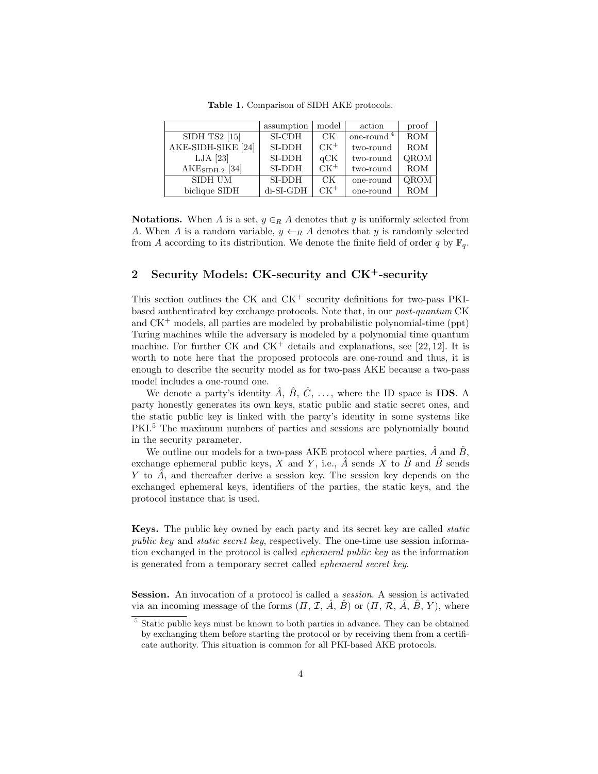|                    | assumption | model  | action        | proof            |
|--------------------|------------|--------|---------------|------------------|
| $SIDH$ TS2 [15]    | SI-CDH     | CК     | one-round $4$ | $\overline{ROM}$ |
| AKE-SIDH-SIKE [24] | SI-DDH     | $CK^+$ | two-round     | <b>ROM</b>       |
| $LJA$ [23]         | SI-DDH     | qCK    | two-round     | QROM             |
| $AKESIDH-2$ [34]   | SI-DDH     | $CK^+$ | two-round     | <b>ROM</b>       |
| SIDH UM            | SI-DDH     | CK.    | one-round     | QROM             |
| biclique SIDH      | di-SI-GDH  | $CK^+$ | one-round     | <b>ROM</b>       |

**Table 1.** Comparison of SIDH AKE protocols.

**Notations.** When *A* is a set,  $y \in_R A$  denotes that *y* is uniformly selected from *A*. When *A* is a random variable,  $y \leftarrow_R A$  denotes that *y* is randomly selected from *A* according to its distribution. We denote the finite field of order *q* by  $\mathbb{F}_q$ .

# **2 Security Models: CK-security and CK<sup>+</sup>-security**

This section outlines the CK and  $CK^+$  security definitions for two-pass PKIbased authenticated key exchange protocols. Note that, in our *post-quantum* CK and  $CK^+$  models, all parties are modeled by probabilistic polynomial-time (ppt) Turing machines while the adversary is modeled by a polynomial time quantum machine. For further CK and  $CK^+$  details and explanations, see [22, 12]. It is worth to note here that the proposed protocols are one-round and thus, it is enough to describe the security model as for two-pass AKE because a two-pass model includes a one-round one.

We denote a party's identity  $\hat{A}$ ,  $\hat{B}$ ,  $\hat{C}$ , ..., where the ID space is **IDS**. A party honestly generates its own keys, static public and static secret ones, and the static public key is linked with the party's identity in some systems like PKI<sup>5</sup>. The maximum numbers of parties and sessions are polynomially bound in the security parameter.

We outline our models for a two-pass AKE protocol where parties,  $\hat{A}$  and  $\hat{B}$ , exchange ephemeral public keys, *X* and *Y*, i.e.,  $\hat{A}$  sends *X* to  $\hat{B}$  and  $\hat{B}$  sends *Y* to *A*<sup></sup>, and thereafter derive a session key. The session key depends on the exchanged ephemeral keys, identifiers of the parties, the static keys, and the protocol instance that is used.

**Keys.** The public key owned by each party and its secret key are called *static public key* and *static secret key*, respectively. The one-time use session information exchanged in the protocol is called *ephemeral public key* as the information is generated from a temporary secret called *ephemeral secret key*.

**Session.** An invocation of a protocol is called a *session*. A session is activated via an incoming message of the forms  $(\Pi, \mathcal{I}, \hat{A}, \hat{B})$  or  $(\Pi, \mathcal{R}, \hat{A}, \hat{B}, Y)$ , where

<sup>5</sup> Static public keys must be known to both parties in advance. They can be obtained by exchanging them before starting the protocol or by receiving them from a certificate authority. This situation is common for all PKI-based AKE protocols.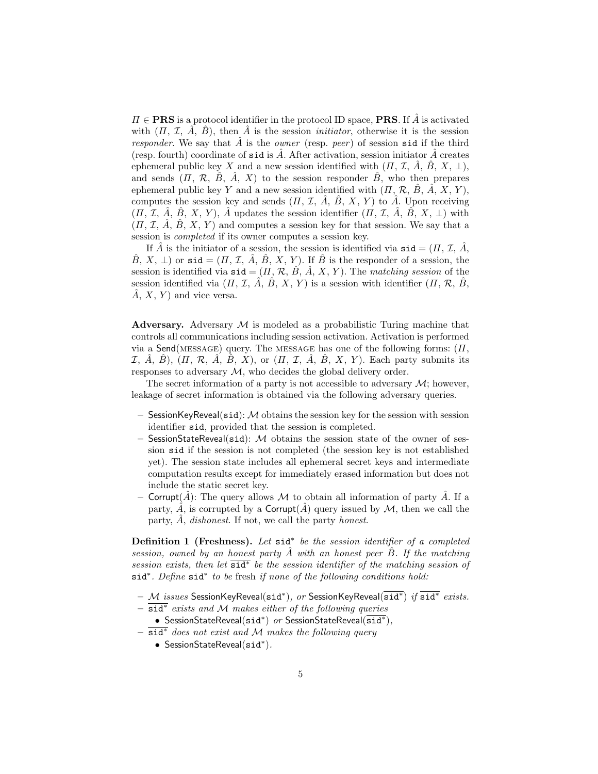$\Pi \in \mathbf{PRS}$  is a protocol identifier in the protocol ID space, **PRS**. If  $\hat{A}$  is activated with  $(\Pi, \mathcal{I}, \tilde{A}, \tilde{B})$ , then  $\tilde{A}$  is the session *initiator*, otherwise it is the session *responder*. We say that  $\hat{A}$  is the *owner* (resp. *peer*) of session sid if the third (resp. fourth) coordinate of sid is  $\hat{A}$ . After activation, session initiator  $\hat{A}$  creates ephemeral public key *X* and a new session identified with  $(\Pi, \mathcal{I}, \hat{A}, \hat{B}, X, \perp)$ , and sends  $(\Pi, \mathcal{R}, \hat{B}, \hat{A}, X)$  to the session responder  $\hat{B}$ , who then prepares ephemeral public key *Y* and a new session identified with  $(\Pi, \mathcal{R}, \hat{B}, \hat{A}, X, Y)$ , computes the session key and sends  $(\Pi, \mathcal{I}, \hat{A}, \hat{B}, X, Y)$  to  $\hat{A}$ . Upon receiving  $(H, \mathcal{I}, \hat{A}, \hat{B}, X, Y), \hat{A}$  updates the session identifier  $(H, \mathcal{I}, \hat{A}, \hat{B}, X, \perp)$  with  $(\Pi, \mathcal{I}, \hat{A}, \hat{B}, X, Y)$  and computes a session key for that session. We say that a session is *completed* if its owner computes a session key.

If  $\hat{A}$  is the initiator of a session, the session is identified via  $\text{sid} = (\Pi, \mathcal{I}, \hat{A})$ ,  $B, X, \perp$  or sid =  $(\Pi, \mathcal{I}, \hat{A}, \hat{B}, X, Y)$ . If  $\hat{B}$  is the responder of a session, the session is identified via  $\text{sid} = (\Pi, \mathcal{R}, \hat{B}, \hat{A}, X, Y)$ . The *matching session* of the session identified via  $(\Pi, \mathcal{I}, \tilde{A}, \tilde{B}, X, Y)$  is a session with identifier  $(\Pi, \mathcal{R}, \tilde{B}, \tilde{B}, \tilde{A}, \tilde{B}, X, Y)$  $\hat{A}$ ,  $X$ ,  $Y$ ) and vice versa.

**Adversary.** Adversary *M* is modeled as a probabilistic Turing machine that controls all communications including session activation. Activation is performed via a Send(MESSAGE) query. The MESSAGE has one of the following forms:  $(\Pi, \Pi)$ *I*,  $\hat{A}$ ,  $\hat{B}$ ), (*Π*, *R*,  $\hat{A}$ ,  $\hat{B}$ , *X*), or (*Π*, *I*,  $\hat{A}$ ,  $\hat{B}$ , *X*, *Y*). Each party submits its responses to adversary *M*, who decides the global delivery order.

The secret information of a party is not accessible to adversary *M*; however, leakage of secret information is obtained via the following adversary queries.

- **–** SessionKeyReveal(sid): *M* obtains the session key for the session with session identifier sid, provided that the session is completed.
- **–** SessionStateReveal(sid): *M* obtains the session state of the owner of session sid if the session is not completed (the session key is not established yet). The session state includes all ephemeral secret keys and intermediate computation results except for immediately erased information but does not include the static secret key.
- $-$  Corrupt(A): The query allows M to obtain all information of party A. If a party, A, is corrupted by a Corrupt(A) query issued by  $M$ , then we call the party, *A*ˆ, *dishonest*. If not, we call the party *honest*.

**Definition 1 (Freshness).** *Let* sid*<sup>∗</sup> be the session identifier of a completed session, owned by an honest party*  $\hat{A}$  *with an honest peer*  $\hat{B}$ *. If the matching session exists, then let* sid*<sup>∗</sup> be the session identifier of the matching session of* sid*<sup>∗</sup> . Define* sid*<sup>∗</sup> to be* fresh *if none of the following conditions hold:*

- **–** *M issues* SessionKeyReveal(sid*<sup>∗</sup>* )*, or* SessionKeyReveal(sid*<sup>∗</sup>* ) *if* sid*<sup>∗</sup> exists.*
- **–** sid*<sup>∗</sup> exists and M makes either of the following queries*
	- *•* SessionStateReveal(sid*<sup>∗</sup>* ) *or* SessionStateReveal(sid*<sup>∗</sup>* )*,*
- **–** sid*<sup>∗</sup> does not exist and M makes the following query*
	- *•* SessionStateReveal(sid*<sup>∗</sup>* )*.*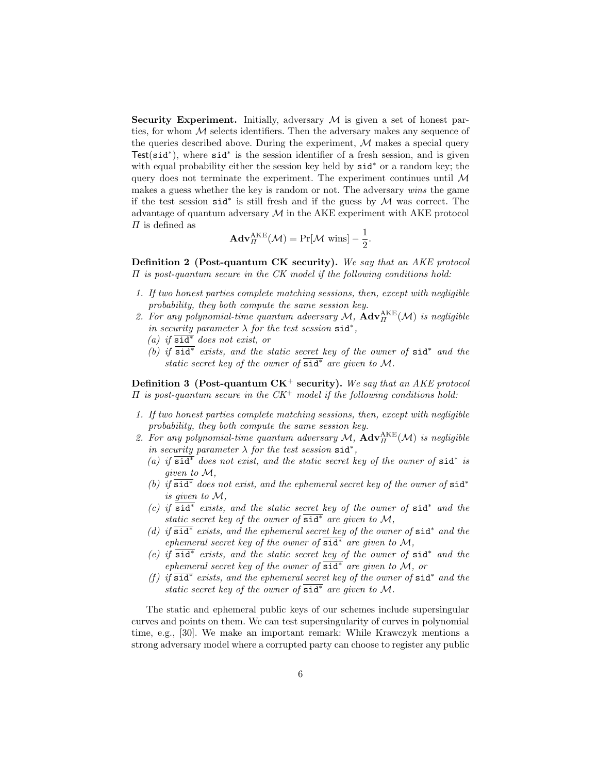**Security Experiment.** Initially, adversary *M* is given a set of honest parties, for whom *M* selects identifiers. Then the adversary makes any sequence of the queries described above. During the experiment, *M* makes a special query Test(sid*<sup>∗</sup>* ), where sid*<sup>∗</sup>* is the session identifier of a fresh session, and is given with equal probability either the session key held by sid*<sup>∗</sup>* or a random key; the query does not terminate the experiment. The experiment continues until *M* makes a guess whether the key is random or not. The adversary *wins* the game if the test session sid*<sup>∗</sup>* is still fresh and if the guess by *M* was correct. The advantage of quantum adversary *M* in the AKE experiment with AKE protocol *Π* is defined as

$$
\mathbf{Adv}_{\Pi}^{\text{AKE}}(\mathcal{M}) = \Pr[\mathcal{M} \text{ wins}] - \frac{1}{2}.
$$

**Definition 2 (Post-quantum CK security).** *We say that an AKE protocol Π is post-quantum secure in the CK model if the following conditions hold:*

- *1. If two honest parties complete matching sessions, then, except with negligible probability, they both compute the same session key.*
- 2. For any polynomial-time quantum adversary  $M$ ,  $\mathbf{Adv}_{\Pi}^{\text{AKE}}(\mathcal{M})$  is negligible *in security parameter*  $\lambda$  *for the test session* sid<sup>\*</sup>,
	- *(a) if* sid*<sup>∗</sup> does not exist, or*
	- *(b) if* sid*<sup>∗</sup> exists, and the static secret key of the owner of* sid*<sup>∗</sup> and the static secret key of the owner of*  $\overline{\text{sid}}^*$  *are given to M.*

**Definition 3 (Post-quantum CK**<sup>+</sup> **security).** *We say that an AKE protocol Π is post-quantum secure in the CK*<sup>+</sup> *model if the following conditions hold:*

- *1. If two honest parties complete matching sessions, then, except with negligible probability, they both compute the same session key.*
- 2. For any polynomial-time quantum adversary  $M$ ,  $\mathbf{Adv}_{\Pi}^{\text{AKE}}(\mathcal{M})$  is negligible *in security parameter*  $\lambda$  *for the test session* sid<sup>\*</sup>,
	- *(a) if* sid*<sup>∗</sup> does not exist, and the static secret key of the owner of* sid*<sup>∗</sup> is given to M,*
	- *(b) if* sid*<sup>∗</sup> does not exist, and the ephemeral secret key of the owner of* sid*<sup>∗</sup> is given to M,*
	- *(c) if* sid*<sup>∗</sup> exists, and the static secret key of the owner of* sid*<sup>∗</sup> and the static secret key of the owner of*  $\overline{\text{sid}}^*$  *are given to*  $M$ *,*
	- *(d) if* sid*<sup>∗</sup> exists, and the ephemeral secret key of the owner of* sid*<sup>∗</sup> and the ephemeral secret key of the owner of*  $\overline{\text{sid}^*}$  *are given to*  $M$ ,
	- *(e) if* sid*<sup>∗</sup> exists, and the static secret key of the owner of* sid*<sup>∗</sup> and the ephemeral secret key of the owner of*  $\overline{\text{sid}}^*$  *are given to M, or*
	- *(f ) if* sid*<sup>∗</sup> exists, and the ephemeral secret key of the owner of* sid*<sup>∗</sup> and the static secret key of the owner of*  $\overline{\text{sid}^*}$  *are given to M.*

The static and ephemeral public keys of our schemes include supersingular curves and points on them. We can test supersingularity of curves in polynomial time, e.g., [30]. We make an important remark: While Krawczyk mentions a strong adversary model where a corrupted party can choose to register any public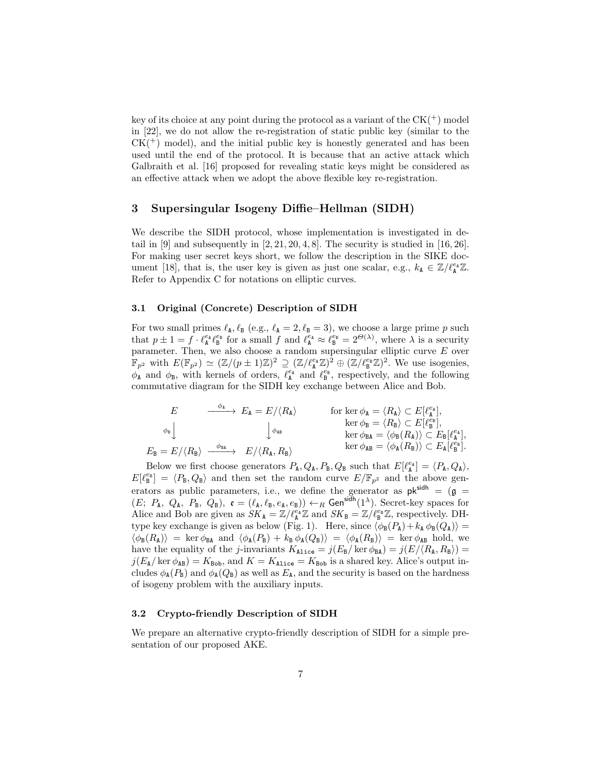key of its choice at any point during the protocol as a variant of the  $CK(^{+})$  model in [22], we do not allow the re-registration of static public key (similar to the  $CK(+)$  model), and the initial public key is honestly generated and has been used until the end of the protocol. It is because that an active attack which Galbraith et al. [16] proposed for revealing static keys might be considered as an effective attack when we adopt the above flexible key re-registration.

# **3 Supersingular Isogeny Diffie–Hellman (SIDH)**

We describe the SIDH protocol, whose implementation is investigated in detail in [9] and subsequently in  $[2, 21, 20, 4, 8]$ . The security is studied in [16, 26]. For making user secret keys short, we follow the description in the SIKE document [18], that is, the user key is given as just one scalar, e.g.,  $k_A \in \mathbb{Z}/\ell_A^{e_A} \mathbb{Z}$ . Refer to Appendix C for notations on elliptic curves.

#### **3.1 Original (Concrete) Description of SIDH**

For two small primes  $\ell_A, \ell_B$  (e.g.,  $\ell_A = 2, \ell_B = 3$ ), we choose a large prime *p* such that  $p \pm 1 = f \cdot \ell_A^{e_A} \ell_B^{e_B}$  for a small *f* and  $\ell_A^{e_A} \approx \ell_B^{e_B} = 2^{\Theta(\lambda)}$ , where  $\lambda$  is a security parameter. Then, we also choose a random supersingular elliptic curve *E* over  $\mathbb{F}_{p^2}$  with  $E(\mathbb{F}_{p^2}) \simeq (\mathbb{Z}/(p \pm 1)\mathbb{Z})^2 \supseteq (\mathbb{Z}/\ell_{\mathbb{A}}^{\mathscr{E}_{\mathbb{A}}} \mathbb{Z})^2 \oplus (\mathbb{Z}/\ell_{\mathbb{B}}^{\mathscr{E}_{\mathbb{B}}} \mathbb{Z})^2$ . We use isogenies,  $\phi_{\bf A}$  and  $\phi_{\bf B}$ , with kernels of orders,  $\ell_{\bf A}^{e_{\bf A}}$  and  $\ell_{\bf B}^{e_{\bf B}}$ , respectively, and the following commutative diagram for the SIDH key exchange between Alice and Bob.

$$
E \longrightarrow E_{\mathbf{A}} = E/\langle R_{\mathbf{A}} \rangle \qquad \text{for } \ker \phi_{\mathbf{A}} = \langle R_{\mathbf{A}} \rangle \subset E[\ell_{\mathbf{A}}^{e_{\mathbf{A}}}],
$$
\n
$$
\downarrow \phi_{\text{AB}} \qquad \qquad \downarrow \phi_{\text{AB}} \qquad \ker \phi_{\mathbf{B}} = \langle R_{\mathbf{B}} \rangle \subset E[\ell_{\mathbf{B}}^{e_{\mathbf{A}}}],
$$
\n
$$
E_{\mathbf{B}} = E/\langle R_{\mathbf{B}} \rangle \qquad \qquad \downarrow \phi_{\text{BA}} \qquad \qquad \ker \phi_{\text{BA}} = \langle \phi_{\mathbf{B}}(R_{\mathbf{A}}) \rangle \subset E_{\mathbf{B}}[\ell_{\mathbf{A}}^{e_{\mathbf{A}}}],
$$
\n
$$
E_{\mathbf{B}} = E/\langle R_{\mathbf{B}} \rangle \qquad \qquad \downarrow \phi_{\text{BA}} = \langle \phi_{\mathbf{A}}(R_{\mathbf{B}}) \rangle \subset E_{\mathbf{A}}[\ell_{\mathbf{B}}^{e_{\mathbf{B}}}].
$$

Below we first choose generators  $P_{\mathbf{A}}$ ,  $Q_{\mathbf{A}}$ ,  $P_{\mathbf{B}}$ ,  $Q_{\mathbf{B}}$  such that  $E[\ell_{\mathbf{A}}^{e_{\mathbf{A}}}] = \langle P_{\mathbf{A}}$ ,  $Q_{\mathbf{A}} \rangle$ ,  $E[\ell_{\text{B}}^{e_{\text{B}}}] = \langle P_{\text{B}}, Q_{\text{B}} \rangle$  and then set the random curve  $E/\mathbb{F}_{p^2}$  and the above generators as public parameters, i.e., we define the generator as  $pk^{sidh} = (g =$  $(E; P_A, Q_A, P_B, Q_B), \mathfrak{e} = (\ell_A, \ell_B, e_A, e_B)) \leftarrow_R \mathsf{Gen}^{\mathsf{sidh}}(1^\lambda)$ . Secret-key spaces for Alice and Bob are given as  $SK_A = \mathbb{Z}/\ell_A^{e_A} \mathbb{Z}$  and  $SK_B = \mathbb{Z}/\ell_B^{e_B} \mathbb{Z}$ , respectively. DHtype key exchange is given as below (Fig. 1). Here, since  $\langle \phi_{\mathbf{B}}(P_{\mathbf{A}}) + k_{\mathbf{A}} \phi_{\mathbf{B}}(Q_{\mathbf{A}}) \rangle =$  $\langle \phi_{\mathbf{B}}(R_{\mathbf{A}}) \rangle = \ker \phi_{\mathbf{BA}}$  and  $\langle \phi_{\mathbf{A}}(P_{\mathbf{B}}) + k_{\mathbf{B}} \phi_{\mathbf{A}}(Q_{\mathbf{B}}) \rangle = \langle \phi_{\mathbf{A}}(R_{\mathbf{B}}) \rangle = \ker \phi_{\mathbf{AB}}$  hold, we have the equality of the *j*-invariants  $K_{\text{Alice}} = j(E_B/\ker \phi_{\text{BA}}) = j(E/\langle R_A, R_B \rangle)$  =  $j(E_A/\ker \phi_{AB}) = K_{Bob}$ , and  $K = K_{Alice} = K_{Bob}$  is a shared key. Alice's output includes  $\phi_{\mathbf{A}}(P_{\mathbf{B}})$  and  $\phi_{\mathbf{A}}(Q_{\mathbf{B}})$  as well as  $E_{\mathbf{A}}$ , and the security is based on the hardness of isogeny problem with the auxiliary inputs.

#### **3.2 Crypto-friendly Description of SIDH**

We prepare an alternative crypto-friendly description of SIDH for a simple presentation of our proposed AKE.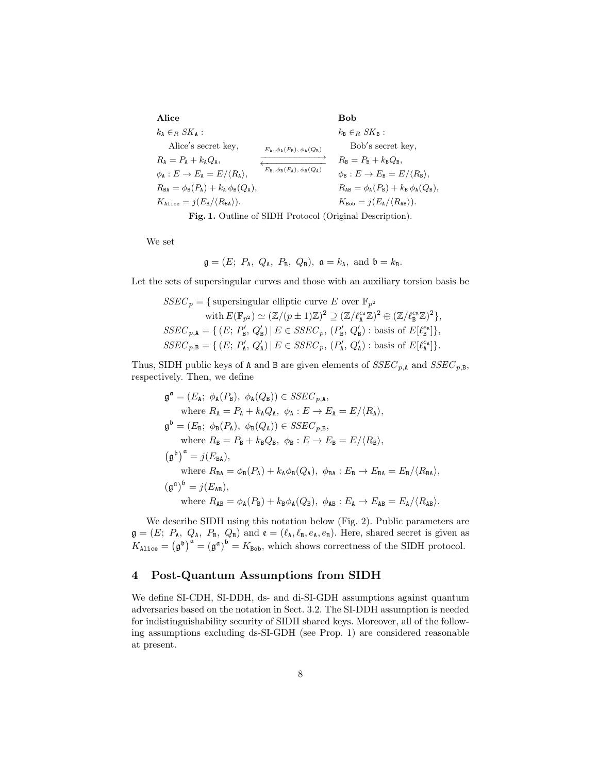**Alice**  $k$ <sup>A</sup> ∈<sup>*R*</sup> *SK*<sup>A</sup> : Alice*′* s secret key*,*  $R_{\text{A}} = P_{\text{A}} + k_{\text{A}}Q_{\text{A}}$  $\phi_{\mathbf{A}} : E \to E_{\mathbf{A}} = E / \langle R_{\mathbf{A}} \rangle$ ,  $R_{BA} = \phi_B(P_A) + k_A \phi_B(Q_A),$  $K_{\text{Alice}} = j(E_{\text{B}}/\langle R_{\text{BA}} \rangle).$  $E_{\texttt{A}}, \phi_{\texttt{A}}(P_{\texttt{B}}), \phi_{\texttt{A}}(Q_{\texttt{B}})$ *−−−−−−−−−−−−→ ←−−−−−−−−−−−− E*B*, ϕ*B(*P*A)*, ϕ*B(*Q*A) **Bob**  $k_{\text{B}} \in_R SK_{\text{B}}$ : Bob*′* s secret key*,*  $R_{\text{B}} = P_{\text{B}} + k_{\text{B}}Q_{\text{B}}$ ,  $\phi_{\text{B}}: E \to E_{\text{B}} = E / \langle R_{\text{B}} \rangle$ ,  $R_{AB} = \phi_A(P_B) + k_B \phi_A(Q_B)$  $K_{\text{Bob}} = j(E_{\text{A}}/\langle R_{\text{AB}} \rangle).$ 

**Fig. 1.** Outline of SIDH Protocol (Original Description).

We set

$$
\mathfrak{g}=(E;\ P_{\mathtt{A}},\ Q_{\mathtt{A}},\ P_{\mathtt{B}},\ Q_{\mathtt{B}}),\ \mathfrak{a}=k_{\mathtt{A}},\text{ and }\mathfrak{b}=k_{\mathtt{B}}.
$$

Let the sets of supersingular curves and those with an auxiliary torsion basis be

$$
SSEC_p = \{ \text{ supersingular elliptic curve } E \text{ over } \mathbb{F}_{p^2} \}
$$
  
with  $E(\mathbb{F}_{p^2}) \simeq (\mathbb{Z}/(p \pm 1)\mathbb{Z})^2 \supseteq (\mathbb{Z}/\ell_{\mathtt{A}}^{\mathrm{e}_\mathtt{A}}\mathbb{Z})^2 \oplus (\mathbb{Z}/\ell_{\mathtt{B}}^{\mathrm{e}_\mathtt{B}}\mathbb{Z})^2 \},$   

$$
SSEC_{p,\mathtt{A}} = \{ (E; P'_{\mathtt{B}}, Q'_{\mathtt{B}}) | E \in SSE C_p, (P'_{\mathtt{B}}, Q'_{\mathtt{B}}) : \text{basis of } E[\ell_{\mathtt{B}}^{\mathrm{e}_\mathtt{B}}] \},
$$
  

$$
SSEC_{p,\mathtt{B}} = \{ (E; P'_{\mathtt{A}}, Q'_{\mathtt{A}}) | E \in SSE C_p, (P'_{\mathtt{A}}, Q'_{\mathtt{A}}) : \text{basis of } E[\ell_{\mathtt{A}}^{\mathrm{e}_\mathtt{A}}] \}.
$$

Thus, SIDH public keys of **A** and **B** are given elements of  $SSEC_{p,\text{A}}$  and  $SSEC_{p,\text{B}}$ , respectively. Then, we define

$$
\mathfrak{g}^{\mathfrak{a}} = (E_{\mathsf{A}}; \ \phi_{\mathsf{A}}(P_{\mathsf{B}}), \ \phi_{\mathsf{A}}(Q_{\mathsf{B}})) \in \text{SSEC}_{p,\mathsf{A}},
$$
\nwhere  $R_{\mathsf{A}} = P_{\mathsf{A}} + k_{\mathsf{A}}Q_{\mathsf{A}}$ ,  $\phi_{\mathsf{A}} : E \to E_{\mathsf{A}} = E / \langle R_{\mathsf{A}} \rangle$ ,  
\n $\mathfrak{g}^{\mathfrak{b}} = (E_{\mathsf{B}}; \ \phi_{\mathsf{B}}(P_{\mathsf{A}}), \ \phi_{\mathsf{B}}(Q_{\mathsf{A}})) \in \text{SSEC}_{p,\mathsf{B}},$   
\nwhere  $R_{\mathsf{B}} = P_{\mathsf{B}} + k_{\mathsf{B}}Q_{\mathsf{B}}$ ,  $\phi_{\mathsf{B}} : E \to E_{\mathsf{B}} = E / \langle R_{\mathsf{B}} \rangle$ ,  
\n $(\mathfrak{g}^{\mathsf{b}})^{\mathsf{a}} = j(E_{\mathsf{B}\mathsf{A}}),$   
\nwhere  $R_{\mathsf{B}\mathsf{A}} = \phi_{\mathsf{B}}(P_{\mathsf{A}}) + k_{\mathsf{A}}\phi_{\mathsf{B}}(Q_{\mathsf{A}}), \ \phi_{\mathsf{B}\mathsf{A}} : E_{\mathsf{B}} \to E_{\mathsf{B}\mathsf{A}} = E_{\mathsf{B}} / \langle R_{\mathsf{B}\mathsf{A}} \rangle$ ,  
\n $(\mathfrak{g}^{\mathsf{a}})^{\mathsf{b}} = j(E_{\mathsf{A}\mathsf{B}}),$   
\nwhere  $R_{\mathsf{A}\mathsf{B}} = \phi_{\mathsf{A}}(P_{\mathsf{B}}) + k_{\mathsf{B}}\phi_{\mathsf{A}}(Q_{\mathsf{B}}), \ \phi_{\mathsf{A}\mathsf{B}} : E_{\mathsf{A}} \to E_{\mathsf{A}\mathsf{B}} = E_{\mathsf{A}} / \langle R_{\mathsf{A}\mathsf{B}} \rangle$ .

We describe SIDH using this notation below (Fig. 2). Public parameters are  $\mathfrak{g} = (E; P_{\mathbb{A}}, Q_{\mathbb{A}}, P_{\mathbb{B}}, Q_{\mathbb{B}})$  and  $\mathfrak{e} = (\ell_{\mathbb{A}}, \ell_{\mathbb{B}}, e_{\mathbb{A}}, e_{\mathbb{B}})$ . Here, shared secret is given as  $K_{\text{Alice}} = (\mathfrak{g}^{\mathfrak{b}})^{\mathfrak{a}} = (\mathfrak{g}^{\mathfrak{a}})^{\mathfrak{b}} = K_{\text{Bob}}$ , which shows correctness of the SIDH protocol.

# **4 Post-Quantum Assumptions from SIDH**

We define SI-CDH, SI-DDH, ds- and di-SI-GDH assumptions against quantum adversaries based on the notation in Sect. 3.2. The SI-DDH assumption is needed for indistinguishability security of SIDH shared keys. Moreover, all of the following assumptions excluding ds-SI-GDH (see Prop. 1) are considered reasonable at present.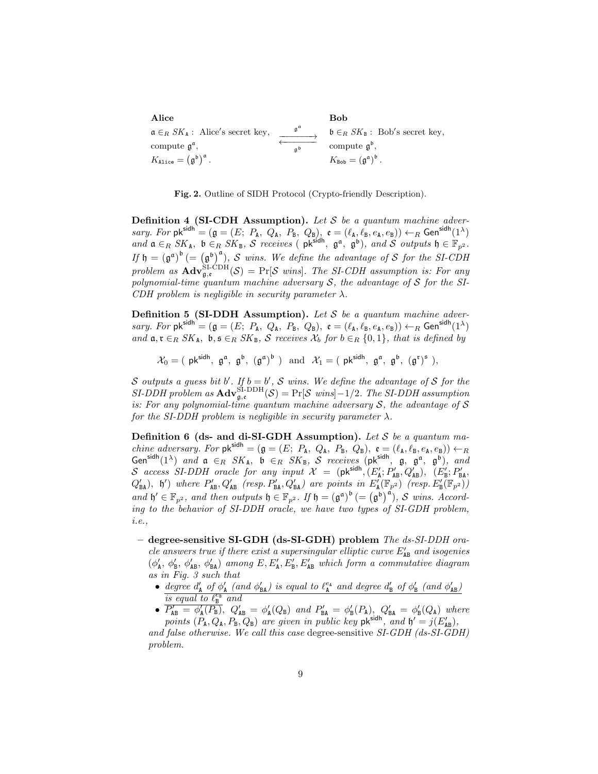**Alice** a *∈<sup>R</sup> SK*<sup>A</sup> : Alice*′* s secret key*,* compute g a *,*  $K_{\text{Alice}} = (\mathfrak{g}^{\mathfrak{b}})^{\mathfrak{a}}$ . g a *−−−−−−−→ ←−−−−−−−* gb **Bob**  $\mathfrak{b} \in_R SK_{\mathbb{B}}$ : Bob's secret key, compute g b *,*  $K_\mathsf{Bob} = (\mathfrak{g}$ a ) b *.*

**Fig. 2.** Outline of SIDH Protocol (Crypto-friendly Description).

**Definition 4 (SI-CDH Assumption).** *Let S be a quantum machine adver* $sary.$  *For*  $pk^{sidh} = (g = (E; P_A, Q_A, P_B, Q_B), \varepsilon = (\ell_A, \ell_B, e_A, e_B)) \leftarrow_R$  Gen<sup>sidh</sup> $(1^{\lambda})$ *and*  $\mathfrak{a} \in_R SK_\mathbb{A}$ ,  $\mathfrak{b} \in_R SK_\mathbb{B}$ ,  $S$  *receives* ( $\mathfrak{p}^{s(\text{d}h)}$ ,  $\mathfrak{g}^{\mathfrak{a}}, \mathfrak{g}^{\mathfrak{b}}$ ), and  $S$  *outputs*  $\mathfrak{h} \in \mathbb{F}_{p^2}$ . *If*  $\mathfrak{h} = (\mathfrak{g}^{\mathfrak{a}})^{\mathfrak{b}}$  (=  $(\mathfrak{g}^{\mathfrak{b}})^{\mathfrak{a}}$ ), *S wins.* We define the advantage of *S* for the SI-CDH problem as  $\mathbf{Adv}_{g,e}^{\text{SL-CDH}}(\mathcal{S}) = \Pr[\mathcal{S} \text{ wins}]$ . The SI-CDH assumption is: For any *polynomial-time quantum machine adversary S, the advantage of S for the SI-CDH problem is negligible in security parameter λ.*

**Definition 5 (SI-DDH Assumption).** *Let S be a quantum machine adver* $sary.$  *For*  $pk^{sidh} = (g = (E; P_A, Q_A, P_B, Q_B),$   $\mathfrak{e} = (\ell_A, \ell_B, e_A, e_B)) \leftarrow_R$  Gen<sup>sidh</sup> $(1^{\lambda})$ and  $a, r \in_R SK_A$ ,  $b, s \in_R SK_B$ , S receives  $\mathcal{X}_b$  for  $b \in_R \{0,1\}$ , that is defined by

 $\mathcal{X}_0 = (p \mathsf{k}^{\text{sidh}}, \mathfrak{g}^{\mathfrak{a}}, \mathfrak{g}^{\mathfrak{b}}, (\mathfrak{g}^{\mathfrak{a}})^{\mathfrak{b}})$  and  $\mathcal{X}_1 = (p \mathsf{k}^{\text{sidh}}, \mathfrak{g}^{\mathfrak{a}}, \mathfrak{g}^{\mathfrak{b}}, (\mathfrak{g}^{\mathfrak{r}})^{\mathfrak{s}})$ ,

*S* outputs a guess bit  $b'$ . If  $b = b'$ , *S* wins. We define the advantage of *S* for the  $SL$ -DDH problem as  $\text{Adv}_{\mathfrak{g},\mathfrak{e}}^{\text{SL-DDH}}(\mathcal{S}) = \Pr[\mathcal{S} \text{ wins}] - 1/2$ . The SI-DDH assumption *is: For any polynomial-time quantum machine adversary S, the advantage of S for the SI-DDH problem is negligible in security parameter*  $\lambda$ *.* 

**Definition 6 (ds- and di-SI-GDH Assumption).** *Let S be a quantum machine adversary. For*  $pk^{sidh} = (g = (E; P_A, Q_A, P_B, Q_B), e = (\ell_A, \ell_B, e_A, e_B)) \leftarrow R$  $Gen^{sidh}(1^{\lambda})$  *and*  $a \in_R SK_A$ ,  $b \in_R SK_B$ , *S receives* ( $pk^{sidh}$ ,  $g$ ,  $g^{\mathfrak{a}}$ ,  $g^{\mathfrak{b}}$ ), *and S access SI-DDH oracle for any input*  $X = (\mathsf{pk}^{\mathsf{sidh}}, (E'_{\mathsf{A}}; P'_{\mathsf{AB}}, Q'_{\mathsf{AB}}), (E'_{\mathsf{B}}; P'_{\mathsf{BA}}, P'_{\mathsf{BA}})$  $Q'_{\text{BA}}$ ), b') where  $P'_{\text{AB}}$ ,  $Q'_{\text{AB}}$  (resp.  $P'_{\text{BA}}$ ,  $Q'_{\text{BA}}$ ) are points in  $E'_{\text{A}}(\mathbb{F}_{p^2})$  (resp.  $E'_{\text{B}}(\mathbb{F}_{p^2})$ ) *and*  $\mathfrak{h}' \in \mathbb{F}_{p^2}$ , and then outputs  $\mathfrak{h} \in \mathbb{F}_{p^2}$ . If  $\mathfrak{h} = (\mathfrak{g}^{\mathfrak{a}})^{\mathfrak{b}} = (\mathfrak{g}^{\mathfrak{b}})^{\mathfrak{a}}$ , *S wins. According to the behavior of SI-DDH oracle, we have two types of SI-GDH problem, i.e.,*

- **degree-sensitive SI-GDH (ds-SI-GDH) problem** *The ds-SI-DDH oracle answers true if there exist a supersingular elliptic curve E′* AB *and isogenies*  $(\phi'_{\mathbf{A}}, \phi'_{\mathbf{B}}, \phi'_{\mathbf{A}\mathbf{B}}, \phi'_{\mathbf{B}\mathbf{A}})$  among  $E, E'_{\mathbf{A}}, E'_{\mathbf{B}}, E'_{\mathbf{A}\mathbf{B}}$  which form a commutative diagram *as in Fig. 3 such that*
	- degree  $d'_{A}$  of  $\phi'_{A}$  (and  $\phi'_{BA}$ ) is equal to  $\ell_{A}^{e_{A}}$  and degree  $d'_{B}$  of  $\phi'_{B}$  (and  $\phi'_{AB}$ )  $\frac{a}{i}$  *is equal to*  $\ell_{\mathbf{B}}^{e_{\mathbf{B}}}$  *and*
	- $P'_{AB} = \phi'_A(P_B)$ ,  $Q'_{AB} = \phi'_A(Q_B)$  and  $P'_{BA} = \phi'_B(P_A)$ ,  $Q'_{BA} = \phi'_B(Q_A)$  where *points*  $(P_A, Q_A, P_B, Q_B)$  *are given in public key*  $pk^{sidh}$ *, and*  $h' = j(E'_{AB})$ *,*

*and false otherwise. We call this case* degree-sensitive *SI-GDH (ds-SI-GDH) problem.*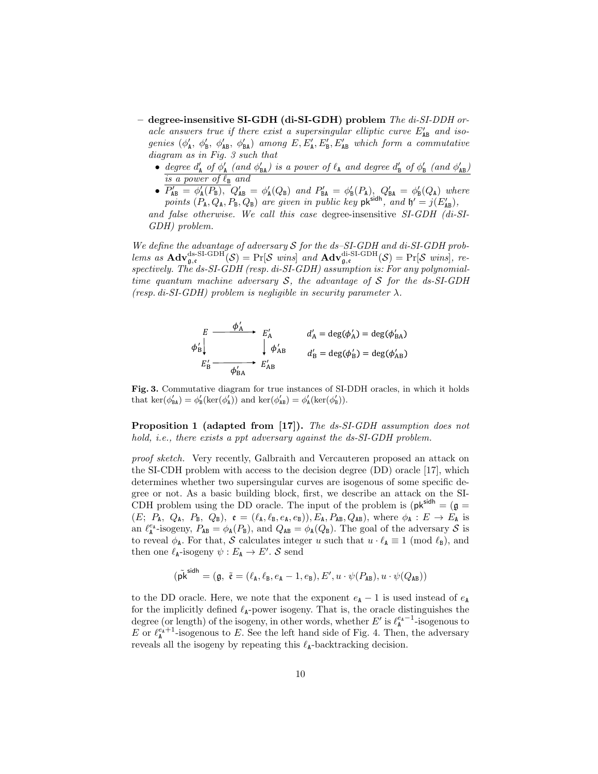- **degree-insensitive SI-GDH (di-SI-GDH) problem** *The di-SI-DDH or*acle answers true if there exist a supersingular elliptic curve  $E'_{AB}$  and iso $genies$  ( $\phi'_{\text{A}}$ ,  $\phi'_{\text{B}}$ ,  $\phi'_{\text{AB}}$ ,  $\phi'_{\text{BA}}$ ) *among*  $E, E'_{\text{A}}, E'_{\text{B}}, E'_{\text{AB}}$  which form a commutative *diagram as in Fig. 3 such that*
	- degree  $d'_{\texttt{A}}$  of  $\phi'_{\texttt{A}}$  (and  $\phi'_{\texttt{BA}}$ ) is a power of  $\ell_{\texttt{A}}$  and degree  $d'_{\texttt{B}}$  of  $\phi'_{\texttt{B}}$  (and  $\phi'_{\texttt{AB}}$ ) *is a power of*  $\ell_{\text{B}}$  *and*
	- $P'_{AB} = \phi'_A(P_B)$ ,  $Q'_{AB} = \phi'_A(Q_B)$  and  $P'_{BA} = \phi'_B(P_A)$ ,  $Q'_{BA} = \phi'_B(Q_A)$  where *points*  $(P_A, Q_A, P_B, Q_B)$  *are given in public key*  $pk^{sidh}$ *, and*  $h' = j(E'_{AB})$ *,*

*and false otherwise. We call this case* degree-insensitive *SI-GDH (di-SI-GDH) problem.*

*We define the advantage of adversary S for the ds–SI-GDH and di-SI-GDH prob* $g_{\rm g,e}$  as  $\text{Adv}_{g,e}^{\text{ds-SI-GDH}}(\mathcal{S}) = \Pr[\mathcal{S} \text{ wins}]$  and  $\text{Adv}_{g,e}^{\text{di-SI-GDH}}(\mathcal{S}) = \Pr[\mathcal{S} \text{ wins}]$ , re*spectively. The ds-SI-GDH (resp. di-SI-GDH) assumption is: For any polynomialtime quantum machine adversary S, the advantage of S for the ds-SI-GDH (resp. di-SI-GDH) problem is negligible in security parameter*  $\lambda$ *.* 

$$
E \xrightarrow{\phi'_{A}} E'_{A} \qquad d'_{A} = \deg(\phi'_{A}) = \deg(\phi'_{BA})
$$
  
\n
$$
\phi'_{B} \qquad d'_{B} = \deg(\phi'_{B}) = \deg(\phi'_{AB})
$$
  
\n
$$
E'_{B} \xrightarrow{\phi'_{BA}} E'_{AB}
$$

**Fig. 3.** Commutative diagram for true instances of SI-DDH oracles, in which it holds that ker( $\phi'_{BA}$ ) =  $\phi'_{B}(\ker(\phi'_{A}))$  and ker( $\phi'_{AB}$ ) =  $\phi'_{A}(\ker(\phi'_{B}))$ .

**Proposition 1 (adapted from [17]).** *The ds-SI-GDH assumption does not hold, i.e., there exists a ppt adversary against the ds-SI-GDH problem.*

*proof sketch.* Very recently, Galbraith and Vercauteren proposed an attack on the SI-CDH problem with access to the decision degree (DD) oracle [17], which determines whether two supersingular curves are isogenous of some specific degree or not. As a basic building block, first, we describe an attack on the SI-CDH problem using the DD oracle. The input of the problem is  $(\mathsf{pk}^{\mathsf{sidh}} = (\mathfrak{g} =$  $(E; P_A, Q_A, P_B, Q_B), \mathfrak{e} = (\ell_A, \ell_B, e_A, e_B), E_A, P_{AB}, Q_{AB}), \text{ where } \phi_A : E \to E_A \text{ is }$ an  $\ell_{\mathtt{A}}^{e_{\mathtt{A}}}$ -isogeny,  $P_{\mathtt{AB}} = \phi_{\mathtt{A}}(P_{\mathtt{B}})$ , and  $Q_{\mathtt{AB}} = \phi_{\mathtt{A}}(Q_{\mathtt{B}})$ . The goal of the adversary *S* is to reveal  $\phi_{\mathbf{A}}$ . For that, *S* calculates integer *u* such that  $u \cdot \ell_{\mathbf{A}} \equiv 1 \pmod{\ell_{\mathbf{B}}}$ , and then one  $\ell_{\mathbf{A}}$ -isogeny  $\psi : E_{\mathbf{A}} \to E'$ . *S* send

$$
(\tilde{\mathsf{pk}}^\mathsf{sidh} = (\mathfrak{g},~\tilde{\mathfrak{e}} = (\ell_\mathtt{A},\ell_\mathtt{B},e_\mathtt{A}-1,e_\mathtt{B}), E', u \cdot \psi(P_\mathtt{AB}), u \cdot \psi(Q_\mathtt{AB}))
$$

to the DD oracle. Here, we note that the exponent  $e_A - 1$  is used instead of  $e_A$ for the implicitly defined  $\ell_{\text{A}}$ -power isogeny. That is, the oracle distinguishes the degree (or length) of the isogeny, in other words, whether  $E'$  is  $\ell_A^{e_A-1}$ -isogenous to *E* or  $\ell_A^{e_{\mathbb{A}}+1}$ -isogenous to *E*. See the left hand side of Fig. 4. Then, the adversary reveals all the isogeny by repeating this  $\ell_{A}$ -backtracking decision.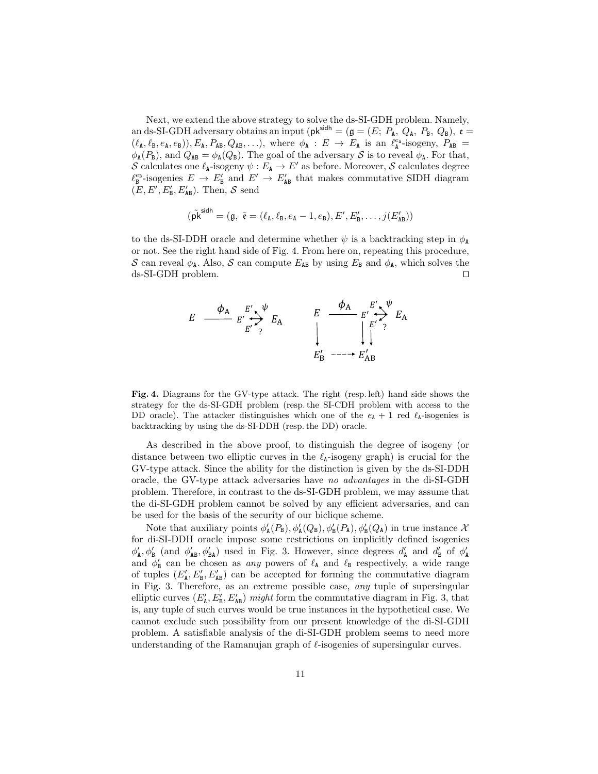Next, we extend the above strategy to solve the ds-SI-GDH problem. Namely, an ds-SI-GDH adversary obtains an input  $(\mathsf{pk}^{\mathsf{sidh}}) = (\mathfrak{g} = (E; P_{\mathsf{A}}, Q_{\mathsf{A}}, P_{\mathsf{B}}, Q_{\mathsf{B}}), \mathfrak{e} =$  $(\ell_{A}, \ell_{B}, e_{A}, e_{B}), E_{A}, P_{AB}, Q_{AB}, \ldots$ , where  $\phi_{A}: E \rightarrow E_{A}$  is an  $\ell_{A}^{e_{A}}$ -isogeny,  $P_{AB} =$  $\phi_{\mathtt{A}}(P_{\mathtt{B}})$ , and  $Q_{\mathtt{AB}} = \phi_{\mathtt{A}}(Q_{\mathtt{B}})$ . The goal of the adversary *S* is to reveal  $\phi_{\mathtt{A}}$ . For that, *S* calculates one  $\ell_A$ -isogeny  $\psi : E_A \to E'$  as before. Moreover, *S* calculates degree  $\ell_{\text{B}}^{e_{\text{B}}}$ -isogenies  $E \to E'_{\text{B}}$  and  $E' \to E'_{\text{AB}}$  that makes commutative SIDH diagram  $(E, E', E'_{\mathbf{B}}, E'_{\mathbf{AB}})$ . Then,  $S$  send

$$
(\tilde{\mathsf{pk}}^\text{sidh} = (\mathfrak{g}, \; \tilde{\mathfrak{e}} = (\ell_\mathtt{A}, \ell_\mathtt{B}, e_\mathtt{A} - 1, e_\mathtt{B}), E', E'_\mathtt{B}, \ldots, j(E'_\mathtt{AB}))
$$

to the ds-SI-DDH oracle and determine whether  $\psi$  is a backtracking step in  $\phi_{\rm A}$ or not. See the right hand side of Fig. 4. From here on, repeating this procedure, *S* can reveal  $\phi_{\text{A}}$ . Also, *S* can compute  $E_{AB}$  by using  $E_{B}$  and  $\phi_{A}$ , which solves the ds-SI-GDH problem. *⊓⊔*



**Fig. 4.** Diagrams for the GV-type attack. The right (resp. left) hand side shows the strategy for the ds-SI-GDH problem (resp. the SI-CDH problem with access to the DD oracle). The attacker distinguishes which one of the  $e_{\lambda} + 1$  red  $\ell_{\lambda}$ -isogenies is backtracking by using the ds-SI-DDH (resp. the DD) oracle.

As described in the above proof, to distinguish the degree of isogeny (or distance between two elliptic curves in the *ℓ*A-isogeny graph) is crucial for the GV-type attack. Since the ability for the distinction is given by the ds-SI-DDH oracle, the GV-type attack adversaries have *no advantages* in the di-SI-GDH problem. Therefore, in contrast to the ds-SI-GDH problem, we may assume that the di-SI-GDH problem cannot be solved by any efficient adversaries, and can be used for the basis of the security of our biclique scheme.

Note that auxiliary points  $\phi'_{\text{A}}(P_{\text{B}}), \phi'_{\text{A}}(Q_{\text{B}}), \phi'_{\text{B}}(P_{\text{A}}), \phi'_{\text{B}}(Q_{\text{A}})$  in true instance  $\mathcal{X}$ for di-SI-DDH oracle impose some restrictions on implicitly defined isogenies  $\phi'_{\mathbf{A}}, \phi'_{\mathbf{B}}$  (and  $\phi'_{\mathbf{AB}}, \phi'_{\mathbf{BA}}$ ) used in Fig. 3. However, since degrees  $d'_{\mathbf{A}}$  and  $d'_{\mathbf{B}}$  of  $\phi'_{\mathbf{A}}$ and  $\phi'_{\mathbf{B}}$  can be chosen as *any* powers of  $\ell_{\mathbf{A}}$  and  $\ell_{\mathbf{B}}$  respectively, a wide range of tuples  $(E'_{\mathbf{A}}, E'_{\mathbf{B}}, E'_{\mathbf{A}\mathbf{B}})$  can be accepted for forming the commutative diagram in Fig. 3. Therefore, as an extreme possible case, *any* tuple of supersingular elliptic curves  $(E'_{\text{A}}, E'_{\text{B}}, E'_{\text{AB}})$  *might* form the commutative diagram in Fig. 3, that is, any tuple of such curves would be true instances in the hypothetical case. We cannot exclude such possibility from our present knowledge of the di-SI-GDH problem. A satisfiable analysis of the di-SI-GDH problem seems to need more understanding of the Ramanujan graph of *ℓ*-isogenies of supersingular curves.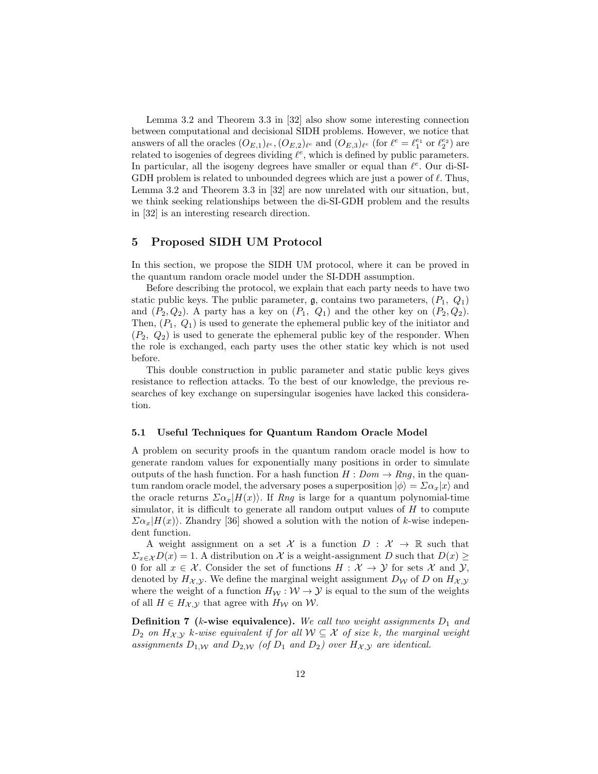Lemma 3.2 and Theorem 3.3 in [32] also show some interesting connection between computational and decisional SIDH problems. However, we notice that answers of all the oracles  $(O_{E,1})_{\ell^e}, (O_{E,2})_{\ell^e}$  and  $(O_{E,3})_{\ell^e}$  (for  $\ell^e = \ell_1^{e_1}$  or  $\ell_2^{e_2}$ ) are related to isogenies of degrees dividing  $\ell^e$ , which is defined by public parameters. In particular, all the isogeny degrees have smaller or equal than *ℓ e* . Our di-SI-GDH problem is related to unbounded degrees which are just a power of *ℓ*. Thus, Lemma 3.2 and Theorem 3.3 in [32] are now unrelated with our situation, but, we think seeking relationships between the di-SI-GDH problem and the results in [32] is an interesting research direction.

# **5 Proposed SIDH UM Protocol**

In this section, we propose the SIDH UM protocol, where it can be proved in the quantum random oracle model under the SI-DDH assumption.

Before describing the protocol, we explain that each party needs to have two static public keys. The public parameter,  $\mathfrak{g}$ , contains two parameters,  $(P_1, Q_1)$ and  $(P_2, Q_2)$ . A party has a key on  $(P_1, Q_1)$  and the other key on  $(P_2, Q_2)$ . Then,  $(P_1, Q_1)$  is used to generate the ephemeral public key of the initiator and  $(P_2, Q_2)$  is used to generate the ephemeral public key of the responder. When the role is exchanged, each party uses the other static key which is not used before.

This double construction in public parameter and static public keys gives resistance to reflection attacks. To the best of our knowledge, the previous researches of key exchange on supersingular isogenies have lacked this consideration.

#### **5.1 Useful Techniques for Quantum Random Oracle Model**

A problem on security proofs in the quantum random oracle model is how to generate random values for exponentially many positions in order to simulate outputs of the hash function. For a hash function  $H: Dom \to Rnq$ , in the quantum random oracle model, the adversary poses a superposition  $|\phi\rangle = \sum_{x} \alpha_x |x\rangle$  and the oracle returns  $\sum \alpha_x |H(x)|$ . If *Rng* is large for a quantum polynomial-time simulator, it is difficult to generate all random output values of *H* to compute  $\sum \alpha_x |H(x)|$ . Zhandry [36] showed a solution with the notion of *k*-wise independent function.

A weight assignment on a set X is a function  $D: X \to \mathbb{R}$  such that  $\sum_{x \in \mathcal{X}} D(x) = 1$ . A distribution on *X* is a weight-assignment *D* such that  $D(x) \ge$ 0 for all  $x \in \mathcal{X}$ . Consider the set of functions  $H : \mathcal{X} \to \mathcal{Y}$  for sets  $\mathcal{X}$  and  $\mathcal{Y}$ , denoted by  $H_{\mathcal{X},\mathcal{Y}}$ . We define the marginal weight assignment  $D_{\mathcal{W}}$  of  $D$  on  $H_{\mathcal{X},\mathcal{Y}}$ where the weight of a function  $H_W : W \to Y$  is equal to the sum of the weights of all  $H \in H_{\mathcal{X},\mathcal{Y}}$  that agree with  $H_{\mathcal{W}}$  on  $\mathcal{W}$ .

**Definition 7** (*k*-wise equivalence). We call two weight assignments  $D_1$  and *D*<sub>2</sub> *on*  $H_{\mathcal{X},\mathcal{Y}}$  *k-wise equivalent if for all*  $\mathcal{W} \subseteq \mathcal{X}$  *of size k, the marginal weight* assignments  $D_{1,\mathcal{W}}$  and  $D_{2,\mathcal{W}}$  (of  $D_1$  and  $D_2$ ) over  $H_{\mathcal{X},\mathcal{Y}}$  are identical.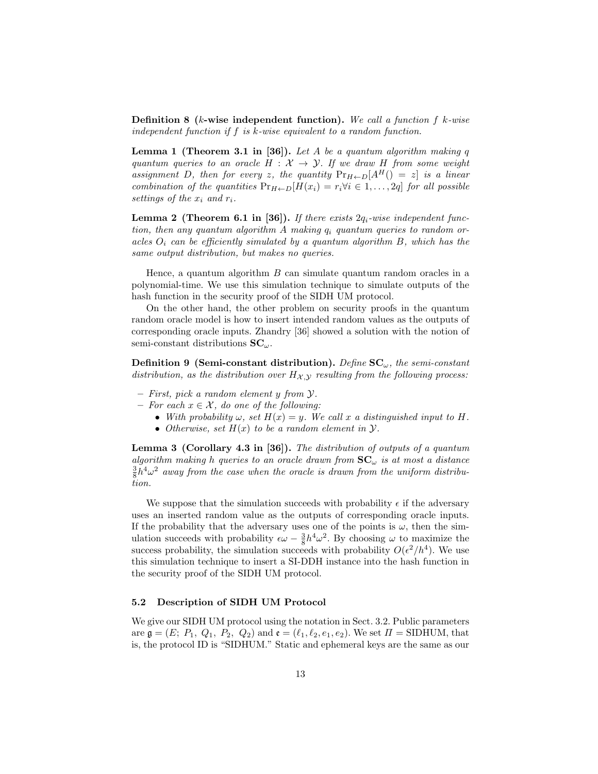**Definition 8 (***k***-wise independent function).** *We call a function f k-wise independent function if f is k-wise equivalent to a random function.*

**Lemma 1 (Theorem 3.1 in [36]).** *Let A be a quantum algorithm making q quantum queries to an oracle*  $H : \mathcal{X} \to \mathcal{Y}$ *. If we draw*  $H$  *from some weight assignment D, then for every <i>z, the quantity*  $Pr_{H \leftarrow D}[A^H() = z]$  *is a linear combination of the quantities*  $Pr_{H \leftarrow D}[H(x_i) = r_i \forall i \in 1, \ldots, 2q]$  *for all possible settings of the*  $x_i$  *and*  $r_i$ *.* 

**Lemma 2 (Theorem 6.1 in [36]).** If there exists  $2q_i$ -wise independent func*tion, then any quantum algorithm A making q<sup>i</sup> quantum queries to random oracles*  $O_i$  *can be efficiently simulated by a quantum algorithm B, which has the same output distribution, but makes no queries.*

Hence, a quantum algorithm *B* can simulate quantum random oracles in a polynomial-time. We use this simulation technique to simulate outputs of the hash function in the security proof of the SIDH UM protocol.

On the other hand, the other problem on security proofs in the quantum random oracle model is how to insert intended random values as the outputs of corresponding oracle inputs. Zhandry [36] showed a solution with the notion of semi-constant distributions **SC***ω*.

**Definition 9 (Semi-constant distribution).** *Define* **SC***ω, the semi-constant distribution, as the distribution over*  $H_{\mathcal{X},\mathcal{Y}}$  *resulting from the following process:* 

- **–** *First, pick a random element y from Y.*
- **–** *For each x ∈ X , do one of the following:*
	- *With probability*  $\omega$ *, set*  $H(x) = y$ *. We call*  $x$  *a distinguished input to*  $H$ *.*
	- *Otherwise, set*  $H(x)$  *to be a random element in*  $Y$ *.*

**Lemma 3 (Corollary 4.3 in [36]).** *The distribution of outputs of a quantum algorithm making h queries to an oracle drawn from* **SC***<sup>ω</sup> is at most a distance*  $\frac{3}{8}h^4\omega^2$  away from the case when the oracle is drawn from the uniform distribu*tion.*

We suppose that the simulation succeeds with probability  $\epsilon$  if the adversary uses an inserted random value as the outputs of corresponding oracle inputs. If the probability that the adversary uses one of the points is  $\omega$ , then the simulation succeeds with probability  $\epsilon \omega - \frac{3}{8} h^4 \omega^2$ . By choosing  $\omega$  to maximize the success probability, the simulation succeeds with probability  $O(\epsilon^2/h^4)$ . We use this simulation technique to insert a SI-DDH instance into the hash function in the security proof of the SIDH UM protocol.

#### **5.2 Description of SIDH UM Protocol**

We give our SIDH UM protocol using the notation in Sect. 3.2. Public parameters are  $\mathfrak{g} = (E; P_1, Q_1, P_2, Q_2)$  and  $\mathfrak{e} = (\ell_1, \ell_2, e_1, e_2)$ . We set  $\Pi = \text{SIDHUM}$ , that is, the protocol ID is "SIDHUM." Static and ephemeral keys are the same as our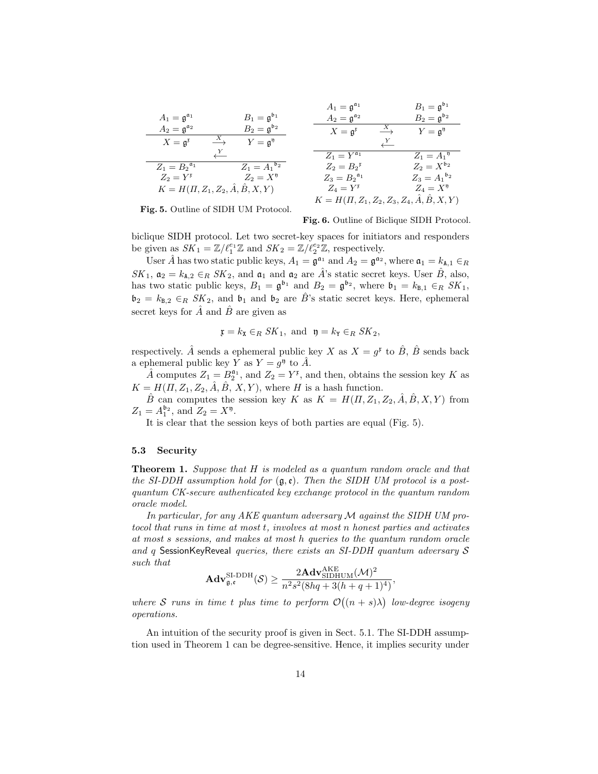| $A_1 = \mathfrak{g}^{\mathfrak{a}_1}$          | $B_1 = \mathfrak{g}^{\mathfrak{b}_1}$ | $A_2 = \mathfrak{g}^{\mathfrak{a}_2}$ | $B_2 = \mathfrak{g}^{\mathfrak{b}_2}$ | $A_2 = \mathfrak{g}^{\mathfrak{a}_2}$ | $B_2 = \mathfrak{g}^{\mathfrak{b}_2}$ |
|------------------------------------------------|---------------------------------------|---------------------------------------|---------------------------------------|---------------------------------------|---------------------------------------|
| $X = \mathfrak{g}^{\mathfrak{k}}$              | $X = \mathfrak{g}^{\mathfrak{k}}$     | $X = \mathfrak{g}^{\mathfrak{k}}$     | $X = \mathfrak{g}^{\mathfrak{k}}$     | $X = \mathfrak{g}^{\mathfrak{k}}$     |                                       |
| $Z_1 = B_2^{\mathfrak{a}_1}$                   | $Z_1 = A_1^{\mathfrak{b}_2}$          | $Z_2 = B_2^{\mathfrak{k}}$            | $Z_2 = B_2^{\mathfrak{k}}$            |                                       |                                       |
| $Z_2 = Y^{\mathfrak{k}}$                       | $Z_2 = X^{\mathfrak{b}}$              | $Z_3 = B_2^{\mathfrak{a}_1}$          | $Z_3 = A_1^{\mathfrak{b}_2}$          |                                       |                                       |
| $K = H(\Pi, Z_1, Z_2, \hat{A}, \hat{B}, X, Y)$ | $Z_4 = Y^{\mathfrak{k}}$              | $Z_4 = X^{\mathfrak{b}}$              |                                       |                                       |                                       |
| $K = H(\Pi, Z_1, Z_2, \hat{A}, \hat{B}, X, Y)$ | $Z_4 = Y^{\mathfrak{k}}$              | $Z_4 = X^{\mathfrak{b}}$              |                                       |                                       |                                       |

**Fig. 5.** Outline of SIDH UM Protocol.

**Fig. 6.** Outline of Biclique SIDH Protocol.

biclique SIDH protocol. Let two secret-key spaces for initiators and responders be given as  $SK_1 = \mathbb{Z}/\ell_1^{e_1} \mathbb{Z}$  and  $SK_2 = \mathbb{Z}/\ell_2^{e_2} \mathbb{Z}$ , respectively.

User  $\hat{A}$  has two static public keys,  $A_1 = \mathfrak{g}^{\mathfrak{a}_1}$  and  $A_2 = \mathfrak{g}^{\mathfrak{a}_2}$ , where  $\mathfrak{a}_1 = k_{\mathbf{A},1} \in_R$  $SK_1$ ,  $a_2 = k_{A,2} \in_R SK_2$ , and  $a_1$  and  $a_2$  are  $\hat{A}$ 's static secret keys. User  $\hat{B}$ , also, has two static public keys,  $B_1 = \mathfrak{g}^{\mathfrak{b}_1}$  and  $B_2 = \mathfrak{g}^{\mathfrak{b}_2}$ , where  $\mathfrak{b}_1 = k_{\mathfrak{B},1} \in_R SK_1$ ,  $\mathfrak{b}_2 = k_{\mathsf{B},2} \in_R SK_2$ , and  $\mathfrak{b}_1$  and  $\mathfrak{b}_2$  are  $\hat{B}$ 's static secret keys. Here, ephemeral secret keys for  $\hat{A}$  and  $\hat{B}$  are given as

$$
\mathfrak{x} = k_{\mathfrak{X}} \in_R SK_1
$$
, and  $\mathfrak{y} = k_{\mathfrak{Y}} \in_R SK_2$ ,

respectively.  $\hat{A}$  sends a ephemeral public key *X* as  $X = g^{\mathfrak{r}}$  to  $\hat{B}$ ,  $\hat{B}$  sends back a ephemeral public key  $\overline{Y}$  as  $Y = g^0$  to  $\hat{A}$ .

 $\hat{A}$  computes  $Z_1 = B_2^{\mathfrak{a}_1}$ , and  $Z_2 = Y^{\mathfrak{x}}$ , and then, obtains the session key *K* as  $K = H(\Pi, Z_1, Z_2, \hat{A}, \hat{B}, X, Y)$ , where *H* is a hash function.

 $\hat{B}$  can computes the session key *K* as  $K = H(\Pi, Z_1, Z_2, \hat{A}, \hat{B}, X, Y)$  from  $Z_1 = A_1^{\mathfrak{b}_2}$ , and  $Z_2 = X^{\mathfrak{y}}$ .

It is clear that the session keys of both parties are equal (Fig. 5).

#### **5.3 Security**

**Theorem 1.** *Suppose that H is modeled as a quantum random oracle and that the SI-DDH assumption hold for* (g*,* e)*. Then the SIDH UM protocol is a postquantum CK-secure authenticated key exchange protocol in the quantum random oracle model.*

*In particular, for any AKE quantum adversary M against the SIDH UM protocol that runs in time at most t, involves at most n honest parties and activates at most s sessions, and makes at most h queries to the quantum random oracle and q* SessionKeyReveal *queries, there exists an SI-DDH quantum adversary S such that* 2**Adv**AKE

$$
\mathbf{Adv}_{\mathfrak{g},\mathfrak{e}}^{\mathrm{SI-DDH}}(\mathcal{S}) \geq \frac{2\mathbf{Adv}_{\mathrm{SIDHUM}}^{\mathrm{AKE}}(\mathcal{M})^2}{n^2s^2(8hq+3(h+q+1)^4)},
$$

*where S runs* in time *t* plus time to perform  $\mathcal{O}((n + s)\lambda)$  low-degree isogeny *operations.*

An intuition of the security proof is given in Sect. 5.1. The SI-DDH assumption used in Theorem 1 can be degree-sensitive. Hence, it implies security under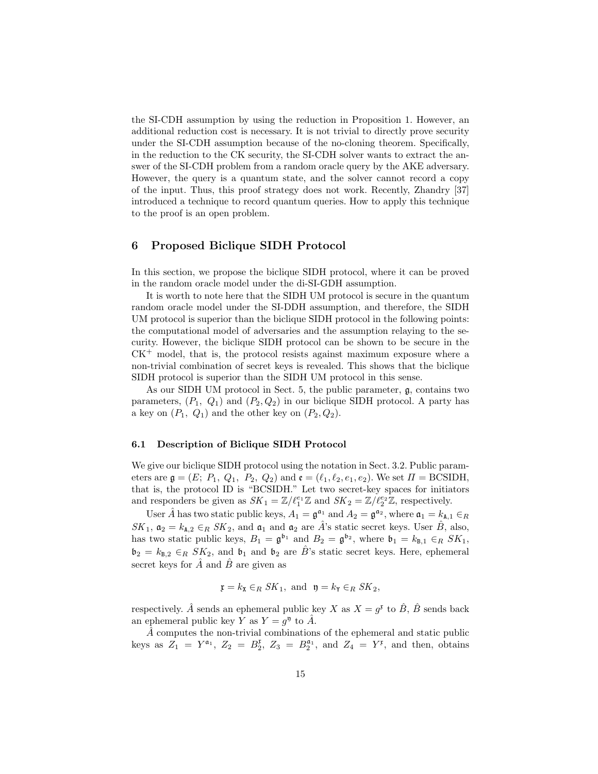the SI-CDH assumption by using the reduction in Proposition 1. However, an additional reduction cost is necessary. It is not trivial to directly prove security under the SI-CDH assumption because of the no-cloning theorem. Specifically, in the reduction to the CK security, the SI-CDH solver wants to extract the answer of the SI-CDH problem from a random oracle query by the AKE adversary. However, the query is a quantum state, and the solver cannot record a copy of the input. Thus, this proof strategy does not work. Recently, Zhandry [37] introduced a technique to record quantum queries. How to apply this technique to the proof is an open problem.

## **6 Proposed Biclique SIDH Protocol**

In this section, we propose the biclique SIDH protocol, where it can be proved in the random oracle model under the di-SI-GDH assumption.

It is worth to note here that the SIDH UM protocol is secure in the quantum random oracle model under the SI-DDH assumption, and therefore, the SIDH UM protocol is superior than the biclique SIDH protocol in the following points: the computational model of adversaries and the assumption relaying to the security. However, the biclique SIDH protocol can be shown to be secure in the  $CK^+$  model, that is, the protocol resists against maximum exposure where a non-trivial combination of secret keys is revealed. This shows that the biclique SIDH protocol is superior than the SIDH UM protocol in this sense.

As our SIDH UM protocol in Sect. 5, the public parameter, g, contains two parameters,  $(P_1, Q_1)$  and  $(P_2, Q_2)$  in our biclique SIDH protocol. A party has a key on  $(P_1, Q_1)$  and the other key on  $(P_2, Q_2)$ .

#### **6.1 Description of Biclique SIDH Protocol**

We give our biclique SIDH protocol using the notation in Sect. 3.2. Public parameters are  $\mathfrak{g} = (E; P_1, Q_1, P_2, Q_2)$  and  $\mathfrak{e} = (\ell_1, \ell_2, e_1, e_2)$ . We set  $\Pi = \text{BCSIDH}$ , that is, the protocol ID is "BCSIDH." Let two secret-key spaces for initiators and responders be given as  $SK_1 = \mathbb{Z}/\ell_1^{e_1}\mathbb{Z}$  and  $SK_2 = \mathbb{Z}/\ell_2^{e_2}\mathbb{Z}$ , respectively.

User  $\hat{A}$  has two static public keys,  $A_1 = \mathfrak{g}^{\mathfrak{a}_1}$  and  $A_2 = \mathfrak{g}^{\mathfrak{a}_2}$ , where  $\mathfrak{a}_1 = k_{\mathsf{A},1} \in_R$  $SK_1$ ,  $a_2 = k_{A,2} \in_R SK_2$ , and  $a_1$  and  $a_2$  are  $\hat{A}$ 's static secret keys. User  $\hat{B}$ , also, has two static public keys,  $B_1 = \mathfrak{g}^{\mathfrak{b}_1}$  and  $B_2 = \mathfrak{g}^{\mathfrak{b}_2}$ , where  $\mathfrak{b}_1 = k_{\mathfrak{B},1} \in_R SK_1$ ,  $\mathfrak{b}_2 = k_{\mathsf{B},2} \in_R SK_2$ , and  $\mathfrak{b}_1$  and  $\mathfrak{b}_2$  are  $\hat{B}$ 's static secret keys. Here, ephemeral secret keys for  $\hat{A}$  and  $\hat{B}$  are given as

$$
\mathfrak{x} = k_{\mathfrak{X}} \in_R SK_1
$$
, and  $\mathfrak{y} = k_{\mathfrak{Y}} \in_R SK_2$ ,

respectively.  $\hat{A}$  sends an ephemeral public key *X* as  $X = g^{\mathfrak{r}}$  to  $\hat{B}$ ,  $\hat{B}$  sends back an ephemeral public key *Y* as  $Y = g^{\mathfrak{y}}$  to  $\hat{A}$ .

*A*ˆ computes the non-trivial combinations of the ephemeral and static public keys as  $Z_1 = Y^{\mathfrak{a}_1}$ ,  $Z_2 = B_2^{\mathfrak{e}}, Z_3 = B_2^{\mathfrak{a}_1}$ , and  $Z_4 = Y^{\mathfrak{e}},$  and then, obtains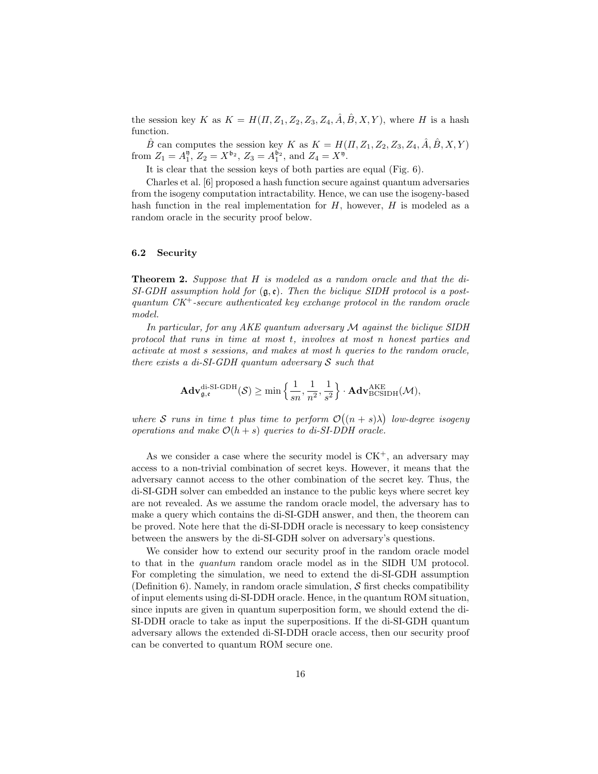the session key *K* as  $K = H(\Pi, Z_1, Z_2, Z_3, Z_4, \hat{A}, \hat{B}, X, Y)$ , where *H* is a hash function.

 $\hat{B}$  can computes the session key *K* as  $K = H(\Pi, Z_1, Z_2, Z_3, Z_4, \hat{A}, \hat{B}, X, Y)$ from  $Z_1 = A_1^{\mathfrak{y}}, Z_2 = X^{\mathfrak{b}_2}, Z_3 = A_1^{\mathfrak{b}_2}$ , and  $Z_4 = X^{\mathfrak{y}}$ .

It is clear that the session keys of both parties are equal (Fig. 6).

Charles et al. [6] proposed a hash function secure against quantum adversaries from the isogeny computation intractability. Hence, we can use the isogeny-based hash function in the real implementation for *H*, however, *H* is modeled as a random oracle in the security proof below.

#### **6.2 Security**

**Theorem 2.** *Suppose that H is modeled as a random oracle and that the di-SI-GDH assumption hold for* (g*,* e)*. Then the biclique SIDH protocol is a postquantum CK*<sup>+</sup>*-secure authenticated key exchange protocol in the random oracle model.*

*In particular, for any AKE quantum adversary M against the biclique SIDH protocol that runs in time at most t, involves at most n honest parties and activate at most s sessions, and makes at most h queries to the random oracle, there exists a di-SI-GDH quantum adversary S such that*

$$
\mathbf{Adv}_{\mathfrak{g},\mathfrak{e}}^{\text{di-SI-GDH}}(\mathcal{S}) \ge \min\left\{\frac{1}{sn},\frac{1}{n^2},\frac{1}{s^2}\right\} \cdot \mathbf{Adv}_{\text{BCSIDH}}^{\text{AKE}}(\mathcal{M}),
$$

*where S runs* in time *t* plus time to perform  $\mathcal{O}((n + s)\lambda)$  low-degree isogeny *operations and make*  $\mathcal{O}(h + s)$  *queries to di-SI-DDH oracle.* 

As we consider a case where the security model is  $CK^+$ , an adversary may access to a non-trivial combination of secret keys. However, it means that the adversary cannot access to the other combination of the secret key. Thus, the di-SI-GDH solver can embedded an instance to the public keys where secret key are not revealed. As we assume the random oracle model, the adversary has to make a query which contains the di-SI-GDH answer, and then, the theorem can be proved. Note here that the di-SI-DDH oracle is necessary to keep consistency between the answers by the di-SI-GDH solver on adversary's questions.

We consider how to extend our security proof in the random oracle model to that in the *quantum* random oracle model as in the SIDH UM protocol. For completing the simulation, we need to extend the di-SI-GDH assumption (Definition 6). Namely, in random oracle simulation, *S* first checks compatibility of input elements using di-SI-DDH oracle. Hence, in the quantum ROM situation, since inputs are given in quantum superposition form, we should extend the di-SI-DDH oracle to take as input the superpositions. If the di-SI-GDH quantum adversary allows the extended di-SI-DDH oracle access, then our security proof can be converted to quantum ROM secure one.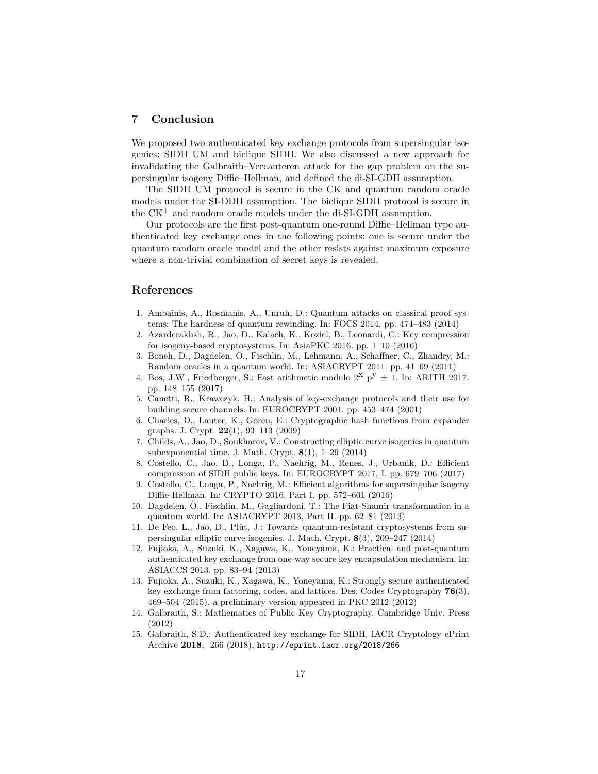# **7 Conclusion**

We proposed two authenticated key exchange protocols from supersingular isogenies: SIDH UM and biclique SIDH. We also discussed a new approach for invalidating the Galbraith–Vercauteren attack for the gap problem on the supersingular isogeny Diffie–Hellman, and defined the di-SI-GDH assumption.

The SIDH UM protocol is secure in the CK and quantum random oracle models under the SI-DDH assumption. The biclique SIDH protocol is secure in the CK<sup>+</sup> and random oracle models under the di-SI-GDH assumption.

Our protocols are the first post-quantum one-round Diffie–Hellman type authenticated key exchange ones in the following points: one is secure under the quantum random oracle model and the other resists against maximum exposure where a non-trivial combination of secret keys is revealed.

# **References**

- 1. Ambainis, A., Rosmanis, A., Unruh, D.: Quantum attacks on classical proof systems: The hardness of quantum rewinding. In: FOCS 2014. pp. 474–483 (2014)
- 2. Azarderakhsh, R., Jao, D., Kalach, K., Koziel, B., Leonardi, C.: Key compression for isogeny-based cryptosystems. In: AsiaPKC 2016. pp. 1–10 (2016)
- 3. Boneh, D., Dagdelen, O., Fischlin, M., Lehmann, A., Schaffner, C., Zhandry, M.: ¨ Random oracles in a quantum world. In: ASIACRYPT 2011. pp. 41–69 (2011)
- 4. Bos, J.W., Friedberger, S.: Fast arithmetic modulo  $2^{x}$   $p^{y} \pm 1$ . In: ARITH 2017. pp. 148–155 (2017)
- 5. Canetti, R., Krawczyk, H.: Analysis of key-exchange protocols and their use for building secure channels. In: EUROCRYPT 2001. pp. 453–474 (2001)
- 6. Charles, D., Lauter, K., Goren, E.: Cryptographic hash functions from expander graphs. J. Crypt. **22**(1), 93–113 (2009)
- 7. Childs, A., Jao, D., Soukharev, V.: Constructing elliptic curve isogenies in quantum subexponential time. J. Math. Crypt. **8**(1), 1–29 (2014)
- 8. Costello, C., Jao, D., Longa, P., Naehrig, M., Renes, J., Urbanik, D.: Efficient compression of SIDH public keys. In: EUROCRYPT 2017, I. pp. 679–706 (2017)
- 9. Costello, C., Longa, P., Naehrig, M.: Efficient algorithms for supersingular isogeny Diffie-Hellman. In: CRYPTO 2016, Part I. pp. 572–601 (2016)
- 10. Dagdelen, O., Fischlin, M., Gagliardoni, T.: The Fiat-Shamir transformation in a ¨ quantum world. In: ASIACRYPT 2013, Part II. pp. 62–81 (2013)
- 11. De Feo, L., Jao, D., Plût, J.: Towards quantum-resistant cryptosystems from supersingular elliptic curve isogenies. J. Math. Crypt. **8**(3), 209–247 (2014)
- 12. Fujioka, A., Suzuki, K., Xagawa, K., Yoneyama, K.: Practical and post-quantum authenticated key exchange from one-way secure key encapsulation mechanism. In: ASIACCS 2013. pp. 83–94 (2013)
- 13. Fujioka, A., Suzuki, K., Xagawa, K., Yoneyama, K.: Strongly secure authenticated key exchange from factoring, codes, and lattices. Des. Codes Cryptography **76**(3), 469–504 (2015), a preliminary version appeared in PKC 2012 (2012)
- 14. Galbraith, S.: Mathematics of Public Key Cryptography. Cambridge Univ. Press (2012)
- 15. Galbraith, S.D.: Authenticated key exchange for SIDH. IACR Cryptology ePrint Archive **2018**, 266 (2018), http://eprint.iacr.org/2018/266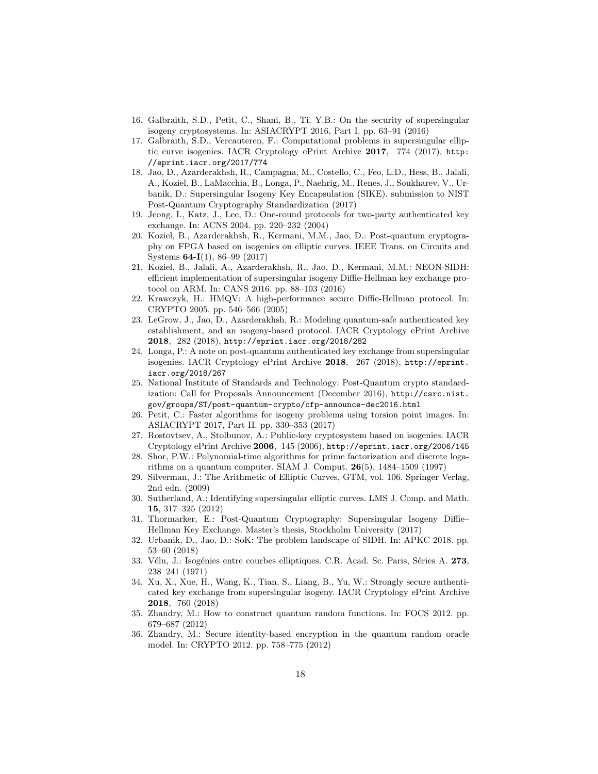- 16. Galbraith, S.D., Petit, C., Shani, B., Ti, Y.B.: On the security of supersingular isogeny cryptosystems. In: ASIACRYPT 2016, Part I. pp. 63–91 (2016)
- 17. Galbraith, S.D., Vercauteren, F.: Computational problems in supersingular elliptic curve isogenies. IACR Cryptology ePrint Archive **2017**, 774 (2017), http: //eprint.iacr.org/2017/774
- 18. Jao, D., Azarderakhsh, R., Campagna, M., Costello, C., Feo, L.D., Hess, B., Jalali, A., Koziel, B., LaMacchia, B., Longa, P., Naehrig, M., Renes, J., Soukharev, V., Urbanik, D.: Supersingular Isogeny Key Encapsulation (SIKE). submission to NIST Post-Quantum Cryptography Standardization (2017)
- 19. Jeong, I., Katz, J., Lee, D.: One-round protocols for two-party authenticated key exchange. In: ACNS 2004. pp. 220–232 (2004)
- 20. Koziel, B., Azarderakhsh, R., Kermani, M.M., Jao, D.: Post-quantum cryptography on FPGA based on isogenies on elliptic curves. IEEE Trans. on Circuits and Systems **64-I**(1), 86–99 (2017)
- 21. Koziel, B., Jalali, A., Azarderakhsh, R., Jao, D., Kermani, M.M.: NEON-SIDH: efficient implementation of supersingular isogeny Diffie-Hellman key exchange protocol on ARM. In: CANS 2016. pp. 88–103 (2016)
- 22. Krawczyk, H.: HMQV: A high-performance secure Diffie-Hellman protocol. In: CRYPTO 2005. pp. 546–566 (2005)
- 23. LeGrow, J., Jao, D., Azarderakhsh, R.: Modeling quantum-safe authenticated key establishment, and an isogeny-based protocol. IACR Cryptology ePrint Archive **2018**, 282 (2018), http://eprint.iacr.org/2018/282
- 24. Longa, P.: A note on post-quantum authenticated key exchange from supersingular isogenies. IACR Cryptology ePrint Archive **2018**, 267 (2018), http://eprint. iacr.org/2018/267
- 25. National Institute of Standards and Technology: Post-Quantum crypto standardization: Call for Proposals Announcement (December 2016), http://csrc.nist. gov/groups/ST/post-quantum-crypto/cfp-announce-dec2016.html
- 26. Petit, C.: Faster algorithms for isogeny problems using torsion point images. In: ASIACRYPT 2017, Part II. pp. 330–353 (2017)
- 27. Rostovtsev, A., Stolbunov, A.: Public-key cryptosystem based on isogenies. IACR Cryptology ePrint Archive **2006**, 145 (2006), http://eprint.iacr.org/2006/145
- 28. Shor, P.W.: Polynomial-time algorithms for prime factorization and discrete logarithms on a quantum computer. SIAM J. Comput. **26**(5), 1484–1509 (1997)
- 29. Silverman, J.: The Arithmetic of Elliptic Curves, GTM, vol. 106. Springer Verlag, 2nd edn. (2009)
- 30. Sutherland, A.: Identifying supersingular elliptic curves. LMS J. Comp. and Math. **15**, 317–325 (2012)
- 31. Thormarker, E.: Post-Quantum Cryptography: Supersingular Isogeny Diffie– Hellman Key Exchange. Master's thesis, Stockholm University (2017)
- 32. Urbanik, D., Jao, D.: SoK: The problem landscape of SIDH. In: APKC 2018. pp. 53–60 (2018)
- 33. Vélu, J.: Isogénies entre courbes elliptiques. C.R. Acad. Sc. Paris, Séries A. 273, 238–241 (1971)
- 34. Xu, X., Xue, H., Wang, K., Tian, S., Liang, B., Yu, W.: Strongly secure authenticated key exchange from supersingular isogeny. IACR Cryptology ePrint Archive **2018**, 760 (2018)
- 35. Zhandry, M.: How to construct quantum random functions. In: FOCS 2012. pp. 679–687 (2012)
- 36. Zhandry, M.: Secure identity-based encryption in the quantum random oracle model. In: CRYPTO 2012. pp. 758–775 (2012)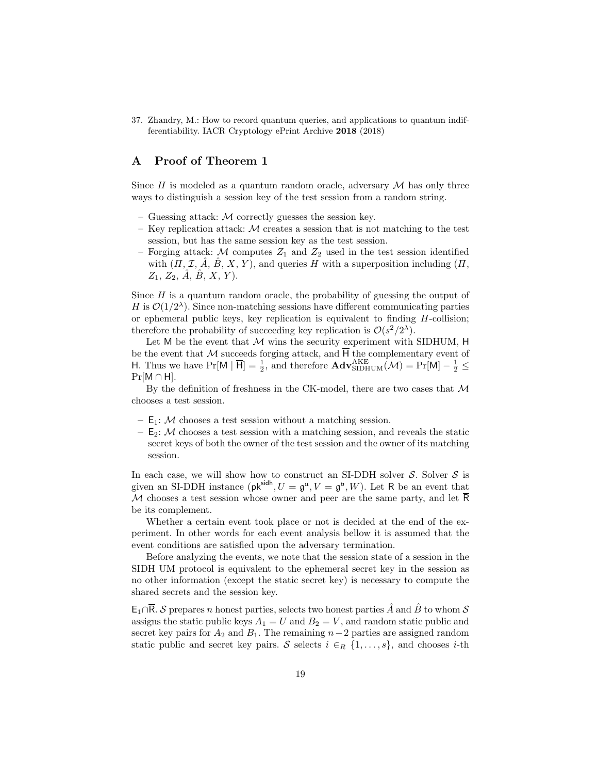37. Zhandry, M.: How to record quantum queries, and applications to quantum indifferentiability. IACR Cryptology ePrint Archive **2018** (2018)

# **A Proof of Theorem 1**

Since  $H$  is modeled as a quantum random oracle, adversary  $M$  has only three ways to distinguish a session key of the test session from a random string.

- Guessing attack: *M* correctly guesses the session key.
- Key replication attack: *M* creates a session that is not matching to the test session, but has the same session key as the test session.
- Forging attack:  $M$  computes  $Z_1$  and  $Z_2$  used in the test session identified with  $(\Pi, \mathcal{I}, \tilde{A}, \tilde{B}, X, Y)$ , and queries *H* with a superposition including  $(\Pi, \Pi, \tilde{B}, \tilde{B}, \tilde{B}, \tilde{B}, \tilde{B})$  $Z_1, Z_2, \hat{A}, \hat{B}, X, Y$ .

Since *H* is a quantum random oracle, the probability of guessing the output of *H* is  $\mathcal{O}(1/2^{\lambda})$ . Since non-matching sessions have different communicating parties or ephemeral public keys, key replication is equivalent to finding *H*-collision; therefore the probability of succeeding key replication is  $\mathcal{O}(s^2/2^{\lambda})$ .

Let  $M$  be the event that  $M$  wins the security experiment with SIDHUM,  $H$ be the event that  $M$  succeeds forging attack, and  $\overline{H}$  the complementary event of H. Thus we have  $Pr[M | \overline{H}] = \frac{1}{2}$ , and therefore  $\mathbf{Adv}_{SIDHUM}^{\text{AKE}}(\mathcal{M}) = Pr[M] - \frac{1}{2} \leq$ Pr[M *∩* H]*.*

By the definition of freshness in the CK-model, there are two cases that *M* chooses a test session.

- **–** E1: *M* chooses a test session without a matching session.
- **–** E2: *M* chooses a test session with a matching session, and reveals the static secret keys of both the owner of the test session and the owner of its matching session.

In each case, we will show how to construct an SI-DDH solver *S*. Solver *S* is given an SI-DDH instance  $(\mathsf{pk}^{\mathsf{sidh}}, U = \mathfrak{g}^{\mathfrak{u}}, V = \mathfrak{g}^{\mathfrak{v}}, W)$ . Let R be an event that  $M$  chooses a test session whose owner and peer are the same party, and let  $\overline{R}$ be its complement.

Whether a certain event took place or not is decided at the end of the experiment. In other words for each event analysis bellow it is assumed that the event conditions are satisfied upon the adversary termination.

Before analyzing the events, we note that the session state of a session in the SIDH UM protocol is equivalent to the ephemeral secret key in the session as no other information (except the static secret key) is necessary to compute the shared secrets and the session key.

E<sub>1</sub>∩R. *S* prepares *n* honest parties, selects two honest parties  $\hat{A}$  and  $\hat{B}$  to whom *S* assigns the static public keys  $A_1 = U$  and  $B_2 = V$ , and random static public and secret key pairs for  $A_2$  and  $B_1$ . The remaining  $n-2$  parties are assigned random static public and secret key pairs. *S* selects  $i \in_R \{1, \ldots, s\}$ , and chooses *i*-th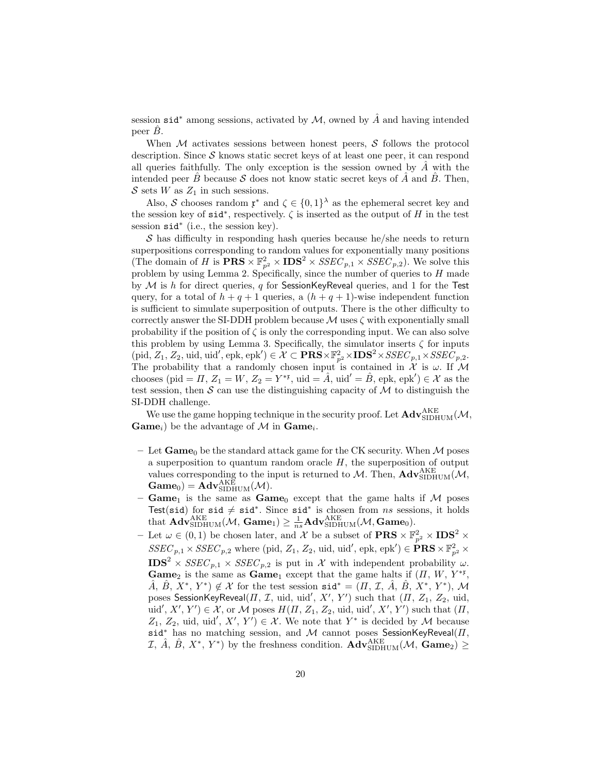session sid*<sup>∗</sup>* among sessions, activated by *M*, owned by *A*ˆ and having intended peer  $\ddot{B}$ .

When *M* activates sessions between honest peers, *S* follows the protocol description. Since *S* knows static secret keys of at least one peer, it can respond all queries faithfully. The only exception is the session owned by  $\hat{A}$  with the intended peer  $\hat{B}$  because  $S$  does not know static secret keys of  $\hat{A}$  and  $\hat{B}$ . Then,  $S$  sets *W* as  $Z_1$  in such sessions.

Also, *S* chooses random  $\mathfrak{x}^*$  and  $\zeta \in \{0,1\}^{\lambda}$  as the ephemeral secret key and the session key of sid*<sup>∗</sup>* , respectively. *ζ* is inserted as the output of *H* in the test session sid*<sup>∗</sup>* (i.e., the session key).

*S* has difficulty in responding hash queries because he/she needs to return superpositions corresponding to random values for exponentially many positions (The domain of *H* is  $\mathbf{PRS} \times \mathbb{F}_{p^2}^2 \times \mathbf{IDS}^2 \times \mathbf{SSEC}_{p,1} \times \mathbf{SSEC}_{p,2}$ ). We solve this problem by using Lemma 2. Specifically, since the number of queries to *H* made by *M* is *h* for direct queries, *q* for SessionKeyReveal queries, and 1 for the Test query, for a total of  $h + q + 1$  queries, a  $(h + q + 1)$ -wise independent function is sufficient to simulate superposition of outputs. There is the other difficulty to correctly answer the SI-DDH problem because *M* uses *ζ* with exponentially small probability if the position of  $\zeta$  is only the corresponding input. We can also solve this problem by using Lemma 3. Specifically, the simulator inserts  $\zeta$  for inputs  $(\text{pid}, Z_1, Z_2, \text{uid}, \text{uid}', \text{epk}, \text{epk}') \in \mathcal{X} \subset \mathbf{PRS} \times \mathbb{F}_{p^2}^2 \times \mathbf{IDS}^2 \times \mathbf{SSEC}_{p,1} \times \mathbf{SSEC}_{p,2}.$ The probability that a randomly chosen input is contained in  $X$  is  $\omega$ . If  $M$ chooses (pid =  $\Pi$ ,  $Z_1 = W$ ,  $Z_2 = Y^{*t}$ , uid =  $\hat{A}$ , uid' =  $\hat{B}$ , epk, epk')  $\in \mathcal{X}$  as the test session, then  $S$  can use the distinguishing capacity of  $M$  to distinguish the SI-DDH challenge.

We use the game hopping technique in the security proof. Let  $\mathbf{Adv}_{\mathrm{SIDHUM}}^{\mathrm{AKE}}(\mathcal{M},$ **Game**<sub>*i*</sub>. be the advantage of  $M$  in **Game**<sub>*i*</sub>.

- $-$  Let  $\mathbf{Game}_0$  be the standard attack game for the CK security. When  $M$  poses a superposition to quantum random oracle *H*, the superposition of output values corresponding to the input is returned to *M*. Then,  $\mathbf{Adv}_{\mathrm{SIDHUM}}^{\mathrm{AKE}}(\mathcal{M},$  $\textbf{Game}_0) = \textbf{Adv}_{\text{SIDHUM}}^{\text{AKE}}(\mathcal{M}).$
- $-$  **Game**<sub>1</sub> is the same as **Game**<sub>0</sub> except that the game halts if M poses Test(sid) for sid *̸*= sid*<sup>∗</sup>* . Since sid*<sup>∗</sup>* is chosen from *ns* sessions, it holds  $\text{that } \mathbf{Adv}_{\text{SIDHUM}}^{\text{AKE}}(\mathcal{M}, \mathbf{Game}_1) \geq \frac{1}{ns} \mathbf{Adv}_{\text{SIDHUM}}^{\text{AKE}}(\mathcal{M}, \mathbf{Game}_0).$
- $−$  Let *ω* ∈ (0, 1) be chosen later, and *X* be a subset of **PRS**  $\times \mathbb{F}_{p^2}^2 \times \textbf{IDS}^2 \times$  $SSEC_{p,1} \times SSEC_{p,2}$  where (pid,  $Z_1$ ,  $Z_2$ , uid, uid', epk, epk')  $\in \mathbf{PRS} \times \mathbb{F}_{p^2}^2 \times$ **IDS**<sup>2</sup>  $\times$  *SSEC*<sub>*p*,1</sub>  $\times$  *SSEC*<sub>*p*</sub>,2 is put in *X* with independent probability *ω*. **Game**<sub>2</sub> is the same as **Game**<sub>1</sub> except that the game halts if  $(\Pi, W, Y^*^*)$ ,  $\hat{A}$ ,  $\hat{B}$ ,  $\hat{X}$ <sup>\*</sup>,  $Y$ <sup>\*</sup>)  $\notin \mathcal{X}$  for the test session  $\text{sid}$ <sup>\*</sup> =  $(\Pi, \mathcal{I}, \hat{A}, \hat{B}, \hat{X}^* , Y^*), \mathcal{M}$ poses SessionKeyReveal(*Π*, *I*, uid, uid*′* , *X′* , *Y ′* ) such that (*Π*, *Z*1, *Z*2, uid,  $\text{uid}'$ ,  $X'$ ,  $Y'$ )  $\in \mathcal{X}$ , or *M* poses  $H(\Pi, Z_1, Z_2, \text{uid}, \text{uid}'$ ,  $X'$ ,  $Y'$ ) such that  $(\Pi, Z_1, Z_2, \text{ did}, \text{uid}')$  $Z_1, Z_2$ , uid, uid',  $X', Y' \in \mathcal{X}$ . We note that  $Y^*$  is decided by *M* because sid*<sup>∗</sup>* has no matching session, and *M* cannot poses SessionKeyReveal(*Π*,  $I$ ,  $\hat{A}$ ,  $\hat{B}$ ,  $X^*$ ,  $Y^*$ ) by the freshness condition. **Adv**<sub>SIDHUM</sub>(*M*, **Game**<sub>2</sub>) *≥*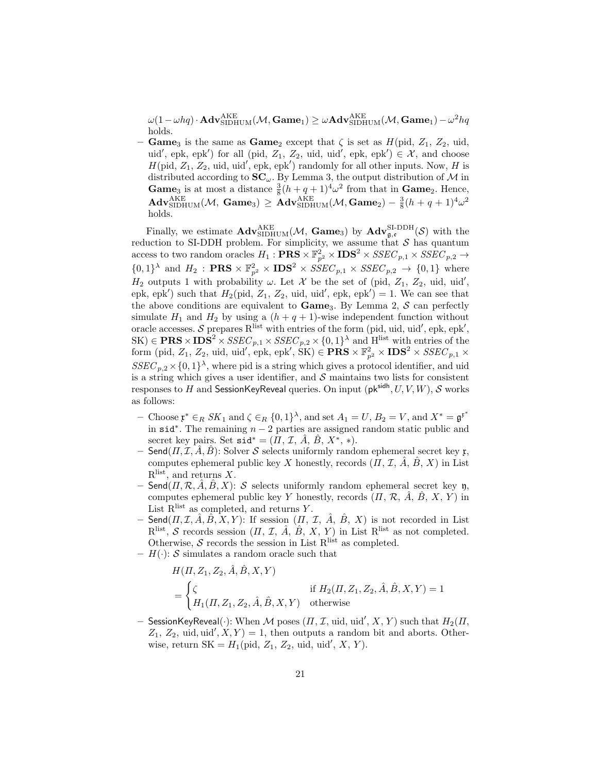$\omega(1-\omega hq)\cdot\mathbf{Adv}_{\mathrm{SIDHUM}}^{\mathrm{AKE}}(\mathcal{M},\mathbf{Game}_1)\geq \omega\mathbf{Adv}_{\mathrm{SIDHUM}}^{\mathrm{AKE}}(\mathcal{M},\mathbf{Game}_1)-\omega^2hq$ holds.

**– Game**<sub>3</sub> is the same as **Game**<sub>2</sub> except that  $\zeta$  is set as  $H$ (pid,  $Z_1$ ,  $Z_2$ , uid, uid', epk, epk') for all (pid,  $Z_1$ ,  $Z_2$ , uid, uid', epk, epk')  $\in \mathcal{X}$ , and choose  $H(\text{pid}, Z_1, Z_2, \text{uid}, \text{uid}', \text{epk}, \text{epk}')$  randomly for all other inputs. Now, *H* is distributed according to  $SC_\omega$ . By Lemma 3, the output distribution of M in **Game**<sub>3</sub> is at most a distance  $\frac{3}{8}(h+q+1)^4\omega^2$  from that in **Game**<sub>2</sub>. Hence,  $\mathbf{Adv}_{\mathrm{SIDHUM}}^{\mathrm{AKE}}(\mathcal{M},\ \mathbf{Game}_3)\,\geq\,\mathbf{Adv}_{\mathrm{SIDHUM}}^{\mathrm{AKE}}(\mathcal{M},\mathbf{Game}_2)-\frac{3}{8}(h+q+1)^4\omega^2$ holds.

Finally, we estimate  $\text{Adv}_{\text{SIDHUM}}^{\text{AKE}}(\mathcal{M}, \text{ Game}_3)$  by  $\text{Adv}_{\mathfrak{g},\mathfrak{e}}^{\text{SL-DDH}}(\mathcal{S})$  with the reduction to SI-DDH problem. For simplicity, we assume that *S* has quantum  $\arccos$  to two random oracles  $H_1$  :  $\mathbf{PRS} \times \mathbb{F}_{p^2}^2 \times \mathbf{IDS}^2 \times SSEC_{p,1} \times SSEC_{p,2} \rightarrow$  $\{0,1\}^{\lambda}$  and  $H_2$ : **PRS**  $\times \mathbb{F}_{p^2}^2 \times \text{IDS}^2 \times \text{SSEC}_{p,1} \times \text{SSEC}_{p,2} \rightarrow \{0,1\}$  where *H*<sub>2</sub> outputs 1 with probability  $\omega$ . Let *X* be the set of (pid,  $Z_1$ ,  $Z_2$ , uid, uid', epk, epk') such that  $H_2$ (pid,  $Z_1$ ,  $Z_2$ , uid, uid', epk, epk') = 1. We can see that the above conditions are equivalent to **Game**3. By Lemma 2, *S* can perfectly simulate  $H_1$  and  $H_2$  by using a  $(h + q + 1)$ -wise independent function without oracle accesses.  $S$  prepares  $R^{\text{list}}$  with entries of the form (pid, uid, uid', epk, epk',  $S(K) \in \mathbf{PRS} \times \mathbf{IDS}^2 \times \mathbf{SSEC}_{p,1} \times \mathbf{SSEC}_{p,2} \times \{0,1\}^{\lambda}$  and  $H^{\text{list}}$  with entries of the  $\text{form (pid, } Z_1, Z_2, \text{uid, und}', \text{epk, epk}', \text{SK}) \in \textbf{PRS} \times \mathbb{F}_{p^2}^2 \times \textbf{IDS}^2 \times \text{SSEC}_{p,1} \times \text{C}$  $SSEC_{p,2} \times \{0,1\}^{\lambda}$ , where pid is a string which gives a protocol identifier, and uid is a string which gives a user identifier, and  $S$  maintains two lists for consistent responses to *H* and SessionKeyReveal queries. On input ( $pk^{sich}$ ,  $U, V, W$ ), *S* works as follows:

- $-$  Choose  $\mathfrak{x}^*$  ∈<sub>*R*</sub> *SK*<sub>1</sub> and  $\zeta$  ∈<sub>*R*</sub> {0,1}</sub><sup> $λ$ </sup>, and set *A*<sub>1</sub> = *U*, *B*<sub>2</sub> = *V*, and *X*<sup>\*</sup> =  $\mathfrak{g}^{\mathfrak{x}^*}$ in sid*<sup>∗</sup>* . The remaining *n −* 2 parties are assigned random static public and secret key pairs. Set  $\text{sid}^* = (\overline{\Pi}, \mathcal{I}, \hat{A}, \hat{B}, X^*, *)$ .
- $\mathsf{Send}(H,\mathcal{I},\hat{A},\hat{B})$ : Solver  $\mathcal S$  selects uniformly random ephemeral secret key x, computes ephemeral public key *X* honestly, records  $(\Pi, \mathcal{I}, \hat{A}, \hat{B}, X)$  in List Rlist, and returns *X*.
- $-$  Send(*Π*, *R*, *A*, *B*, *X*): *S* selects uniformly random ephemeral secret key η, computes ephemeral public key *Y* honestly, records  $(\Pi, \mathcal{R}, \hat{A}, \hat{B}, X, Y)$  in List R<sup>list</sup> as completed, and returns *Y*.
- **–** Send(*Π, I, A,* ˆ *B, X, Y* ˆ ): If session (*Π*, *I*, *A*ˆ, *B*ˆ, *X*) is not recorded in List  $R^{\text{list}}$ , *S* records session  $(\Pi, \mathcal{I}, \hat{A}, \hat{B}, X, Y)$  in List  $R^{\text{list}}$  as not completed. Otherwise,  $S$  records the session in List  $R^{\text{list}}$  as completed.
- $H(\cdot): \mathcal{S}$  simulates a random oracle such that

$$
H(\Pi, Z_1, Z_2, \hat{A}, \hat{B}, X, Y)
$$
  
= 
$$
\begin{cases} \zeta & \text{if } H_2(\Pi, Z_1, Z_2, \hat{A}, \hat{B}, X, Y) = 1 \\ H_1(\Pi, Z_1, Z_2, \hat{A}, \hat{B}, X, Y) & \text{otherwise} \end{cases}
$$

**–** SessionKeyReveal(*·*): When *M* poses (*Π*, *I*, uid, uid*′* , *X*, *Y* ) such that *H*2(*Π,*  $Z_1, Z_2, \text{uid}, \text{uid}', X, Y) = 1$ , then outputs a random bit and aborts. Otherwise, return  $SK = H_1(\text{pid}, Z_1, Z_2, \text{uid}, \text{uid}', X, Y)$ .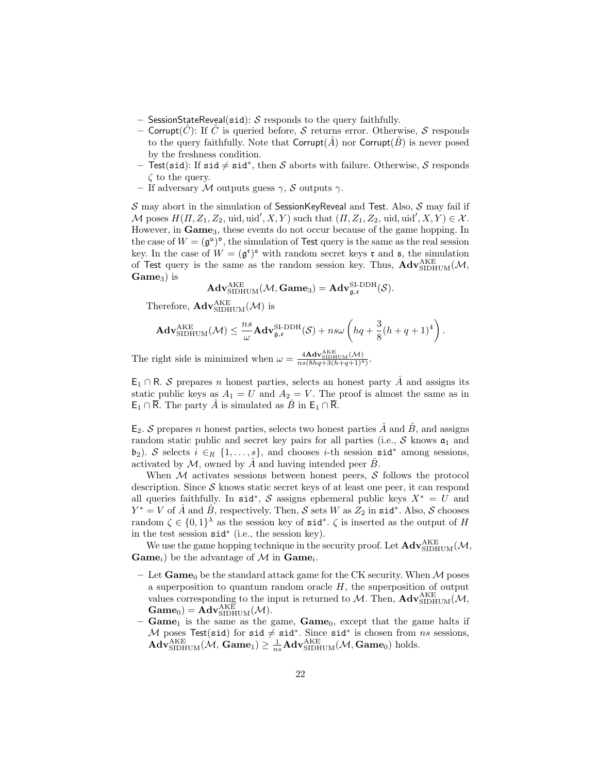- **–** SessionStateReveal(sid): *S* responds to the query faithfully.
- **–** Corrupt(*C*ˆ): If *C*ˆ is queried before, *S* returns error. Otherwise, *S* responds to the query faithfully. Note that  $\text{Corrupt}(\hat{A})$  nor  $\text{Corrupt}(\hat{B})$  is never posed by the freshness condition.
- **–** Test(sid): If sid *̸*= sid*<sup>∗</sup>* , then *S* aborts with failure. Otherwise, *S* responds *ζ* to the query.
- **–** If adversary *M* outputs guess *γ*, *S* outputs *γ*.

*S* may abort in the simulation of SessionKeyReveal and Test. Also, *S* may fail if  $\mathcal{M}$  poses  $H(\Pi, Z_1, Z_2, \text{uid}, \text{uid}', X, Y)$  such that  $(\Pi, Z_1, Z_2, \text{uid}, \text{uid}', X, Y) \in \mathcal{X}$ . However, in **Game**3, these events do not occur because of the game hopping. In the case of  $W = (\mathfrak{g}^{\mathfrak{u}})^{\mathfrak{v}}$ , the simulation of Test query is the same as the real session key. In the case of  $W = (\mathfrak{g}^{\mathfrak{r}})^{\mathfrak{s}}$  with random secret keys **r** and **s**, the simulation of Test query is the same as the random session key. Thus,  $\mathbf{Adv}_{\text{SIDHUM}}^{\text{AKE}}(\mathcal{M},$ **Game**3) is

$$
\mathbf{Adv}_{\mathrm{SIDHUM}}^{\mathrm{AKE}}(\mathcal{M}, \mathbf{Game}_3) = \mathbf{Adv}_{\mathfrak{g},\mathfrak{e}}^{\mathrm{SI-DDH}}(\mathcal{S}).
$$

Therefore,  $\mathbf{Adv}_{\mathrm{SIDHUM}}^{\mathrm{AKE}}(\mathcal{M})$  is

$$
\mathbf{Adv}_{\mathrm{SIDHUM}}^{\mathrm{AKE}}(\mathcal{M}) \leq \frac{ns}{\omega} \mathbf{Adv}_{\mathfrak{g},\mathfrak{e}}^{\mathrm{SI-DDH}}(\mathcal{S}) + ns\omega \left(hq + \frac{3}{8}(h+q+1)^4\right).
$$

The right side is minimized when  $\omega = \frac{4 \text{Adv}_{\text{SIDHUM}}^{AKE}}{ns(8hq+3(h+q+1)^4)}$ .

E<sub>1</sub> ∩ R. *S* prepares *n* honest parties, selects an honest party  $\hat{A}$  and assigns its static public keys as  $A_1 = U$  and  $A_2 = V$ . The proof is almost the same as in  $E_1 \cap \overline{R}$ . The party  $\hat{A}$  is simulated as  $\hat{B}$  in  $E_1 \cap \overline{R}$ .

 $E_2$ . *S* prepares *n* honest parties, selects two honest parties  $\hat{A}$  and  $\hat{B}$ , and assigns random static public and secret key pairs for all parties (i.e.,  $S$  knows  $a_1$  and  $\mathfrak{b}_2$ ). *S* selects  $i \in_R \{1, \ldots, s\}$ , and chooses *i*-th session sid<sup>\*</sup> among sessions, activated by  $M$ , owned by  $\hat{A}$  and having intended peer  $\hat{B}$ .

When *M* activates sessions between honest peers, *S* follows the protocol description. Since *S* knows static secret keys of at least one peer, it can respond all queries faithfully. In sid*<sup>∗</sup>* , *S* assigns ephemeral public keys *X<sup>∗</sup>* = *U* and  $Y^* = V$  of  $\hat{A}$  and  $\hat{B}$ , respectively. Then,  $S$  sets  $W$  as  $Z_2$  in sid<sup>\*</sup>. Also,  $S$  chooses random  $\zeta \in \{0,1\}^{\lambda}$  as the session key of sid<sup>\*</sup>.  $\zeta$  is inserted as the output of *H* in the test session sid*<sup>∗</sup>* (i.e., the session key).

We use the game hopping technique in the security proof. Let  $\mathbf{Adv}_{\mathrm{SIDHUM}}^{\mathrm{AKE}}(\mathcal{M},$ **Game**<sub>*i*</sub>. be the advantage of  $M$  in **Game**<sub>*i*</sub>.

- $-$  Let  $\mathbf{Game}_0$  be the standard attack game for the CK security. When  $\mathcal M$  poses a superposition to quantum random oracle *H*, the superposition of output values corresponding to the input is returned to *M*. Then,  $\mathbf{Adv}_{\mathrm{SIDHUM}}^{\mathrm{AKE}}(\mathcal{M},$  $\textbf{Game}_0) = \textbf{Adv}_{\text{SIDHUM}}^{\text{AKE}}(\mathcal{M}).$
- **Game**<sup>1</sup> is the same as the game, **Game**0, except that the game halts if *M* poses Test(sid) for sid *̸*= sid*<sup>∗</sup>* . Since sid*<sup>∗</sup>* is chosen from *ns* sessions,  $\mathbf{Adv}_{\mathrm{SIDHUM}}^{\mathrm{AKE}}(\mathcal{M}, \mathbf{Game}_1) \geq \frac{1}{ns}\mathbf{Adv}_{\mathrm{SIDHUM}}^{\mathrm{AKE}}(\mathcal{M}, \mathbf{Game}_0) \text{ holds.}$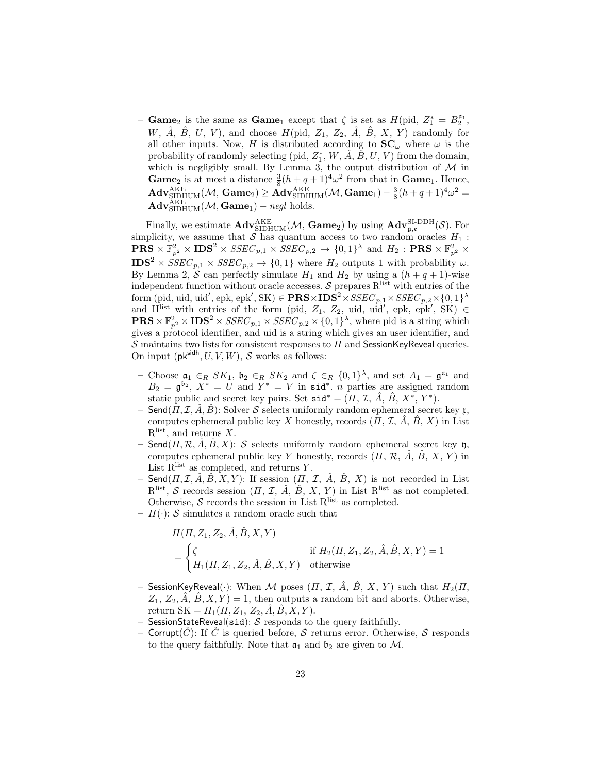**– Game**<sub>2</sub> is the same as **Game**<sub>1</sub> except that  $\zeta$  is set as  $H(\text{pid}, Z_1^* = B_2^{\mathfrak{a}_1},$ *W*,  $\hat{A}$ ,  $\hat{B}$ ,  $U$ ,  $V$ ), and choose  $H$ (pid,  $Z_1$ ,  $Z_2$ ,  $\hat{A}$ ,  $\hat{B}$ ,  $X$ ,  $Y$ ) randomly for all other inputs. Now, *H* is distributed according to  $SC_\omega$  where  $\omega$  is the probability of randomly selecting (pid,  $Z_1^*, W, \hat{A}, \check{B}, U, V$ ) from the domain, which is negligibly small. By Lemma 3, the output distribution of  $M$  in **Game**<sub>2</sub> is at most a distance  $\frac{3}{8}(h+q+1)^4\omega^2$  from that in **Game**<sub>1</sub>. Hence,  $\mathbf{Adv}_{\mathrm{SIDHUM}}^{\mathrm{AKE}}(\mathcal{M}, \mathbf{Game}_2) \geq \mathbf{Adv}_{\mathrm{SIDHUM}}^{\mathrm{AKE}}(\mathcal{M}, \mathbf{Game}_1) - \frac{3}{8}(h+q+1)^4\omega^2 = 0$  $\mathbf{Adv}_{\mathrm{SIDHUM}}^{\mathrm{AKE}}(\mathcal{M}, \mathbf{Game}_1) - \textit{negl} \text{ holds.}$ 

Finally, we estimate  $\mathbf{Adv}_{\text{SIDHUM}}^{\text{AKE}}(\mathcal{M}, \mathbf{Game}_2)$  by using  $\mathbf{Adv}_{g,e}^{\text{SL-DDH}}(\mathcal{S})$ . For simplicity, we assume that  $S$  has quantum access to two random oracles  $H_1$ :  $\mathbf{PRS} \times \mathbb{F}_{p^2}^2 \times \mathbf{IDS}^2 \times \mathbf{SSEC}_{p,1} \times \mathbf{SSEC}_{p,2} \rightarrow \{0,1\}^{\lambda} \text{ and } H_2: \mathbf{PRS} \times \mathbb{F}_{p^2}^2 \times \mathbb{F}_{p^2}^2$  $\text{IDS}^2 \times \overline{SSEC}_{p,1} \times \overline{SSEC}_{p,2} \rightarrow \{0,1\}$  where  $H_2$  outputs 1 with probability  $\omega$ . By Lemma 2, *S* can perfectly simulate  $H_1$  and  $H_2$  by using a  $(h+q+1)$ -wise independent function without oracle accesses.  $S$  prepares  $R^{\text{list}}$  with entries of the  $\text{form (pid,uid', epk, epk', SK)} \in \textbf{PRS} \times \textbf{IDS}^2 \times \textbf{SSEC}_{p,1} \times \textbf{SSEC}_{p,2} \times \{0,1\}^{\lambda}$ and H<sup>list</sup> with entries of the form (pid,  $Z_1$ ,  $Z_2$ , uid, uid', epk, epk', SK)  $\in$  $\mathbf{PRS} \times \mathbb{F}_{p^2}^2 \times \mathbf{IDS}^2 \times \mathbf{SSEC}_{p,1} \times \mathbf{SSEC}_{p,2} \times \{0,1\}^{\lambda}$ , where pid is a string which gives a protocol identifier, and uid is a string which gives an user identifier, and *S* maintains two lists for consistent responses to *H* and SessionKeyReveal queries. On input  $(\mathsf{pk}^{\mathsf{sidh}}, U, V, W)$ , *S* works as follows:

- **−** Choose  $\mathfrak{a}_1 \in_R SK_1$ ,  $\mathfrak{b}_2 \in_R SK_2$  and  $\zeta \in_R {\{0,1\}}^{\lambda}$ , and set  $A_1 = \mathfrak{g}^{\mathfrak{a}_1}$  and  $B_2 = \mathfrak{g}^{\mathfrak{b}_2}, X^* = U$  and  $Y^* = V$  in sid<sup>\*</sup>. *n* parties are assigned random static public and secret key pairs. Set  $\text{sid}^* = (\Pi, \mathcal{I}, \hat{A}, \hat{B}, X^*, Y^*)$ .
- $-$  Send( $\Pi$ ,  $\mathcal{I}$ ,  $\hat{A}$ ,  $\hat{B}$ ): Solver *S* selects uniformly random ephemeral secret key **r**, computes ephemeral public key *X* honestly, records  $(\Pi, \mathcal{I}, \hat{A}, \hat{B}, X)$  in List Rlist, and returns *X*.
- **–** Send(*Π, R, A,* ˆ *B, X* ˆ ): *S* selects uniformly random ephemeral secret key y, computes ephemeral public key *Y* honestly, records  $(\Pi, \mathcal{R}, \hat{A}, \hat{B}, X, Y)$  in List R<sup>list</sup> as completed, and returns *Y*.
- $\mathsf{Send}(H, \mathcal{I}, \hat{A}, \hat{B}, X, Y)$ : If session  $(H, \mathcal{I}, \hat{A}, \hat{B}, X)$  is not recorded in List  $R^{\text{list}}$ , *S* records session  $(\Pi, \mathcal{I}, \hat{A}, \hat{B}, X, Y)$  in List  $R^{\text{list}}$  as not completed. Otherwise,  $S$  records the session in List  $R^{\text{list}}$  as completed.
- $H(\cdot): \mathcal{S}$  simulates a random oracle such that

$$
H(\Pi, Z_1, Z_2, \hat{A}, \hat{B}, X, Y)
$$
  
= 
$$
\begin{cases} \zeta & \text{if } H_2(\Pi, Z_1, Z_2, \hat{A}, \hat{B}, X, Y) = 1 \\ H_1(\Pi, Z_1, Z_2, \hat{A}, \hat{B}, X, Y) & \text{otherwise} \end{cases}
$$

- **–** SessionKeyReveal(*·*): When *M* poses (*Π*, *I*, *A*ˆ, *B*ˆ, *X*, *Y* ) such that *H*2(*Π,*  $Z_1, Z_2, \hat{A}, \hat{B}, X, Y$  = 1, then outputs a random bit and aborts. Otherwise,  $return SK = H_1(\Pi, Z_1, Z_2, \hat{A}, \hat{B}, X, Y).$
- **–** SessionStateReveal(sid): *S* responds to the query faithfully.
- Corrupt $(C)$ : If  $\tilde{C}$  is queried before,  $S$  returns error. Otherwise,  $S$  responds to the query faithfully. Note that  $a_1$  and  $b_2$  are given to M.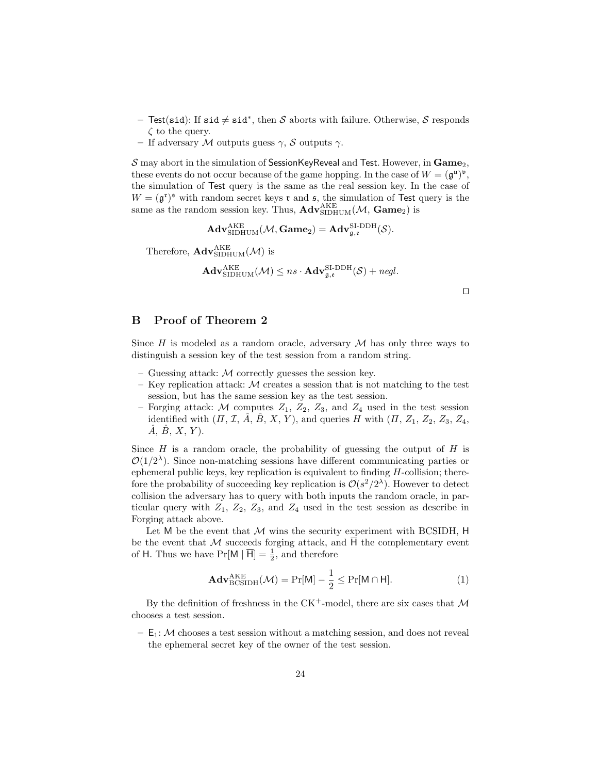- **–** Test(sid): If sid *̸*= sid*<sup>∗</sup>* , then *S* aborts with failure. Otherwise, *S* responds *ζ* to the query.
- **–** If adversary *M* outputs guess *γ*, *S* outputs *γ*.

*S* may abort in the simulation of SessionKeyReveal and Test. However, in **Game**2, these events do not occur because of the game hopping. In the case of  $W = (\mathfrak{g}^{\mathfrak{u}})^{\mathfrak{v}},$ the simulation of Test query is the same as the real session key. In the case of  $W = (\mathfrak{g}^{\mathfrak{r}})^{\mathfrak{s}}$  with random secret keys  $\mathfrak{r}$  and  $\mathfrak{s}$ , the simulation of Test query is the same as the random session key. Thus,  $\mathbf{Adv}_{\mathrm{SIDHUM}}^{\mathrm{AKE}}(\mathcal{M}, \mathbf{Game}_2)$  is

$$
\mathbf{Adv}_{\mathrm{SIDHUM}}^{\mathrm{AKE}}(\mathcal{M}, \mathbf{Game}_2) = \mathbf{Adv}_{\mathfrak{g},\mathfrak{e}}^{\mathrm{SI-DDH}}(\mathcal{S}).
$$

Therefore,  $\mathbf{Adv}_{\mathrm{SIDHUM}}^{\mathrm{AKE}}(\mathcal{M})$  is

$$
\mathbf{Adv}_{\mathrm{SIDHUM}}^{\mathrm{AKE}}(\mathcal{M}) \leq ns \cdot \mathbf{Adv}_{\mathfrak{g},\mathfrak{e}}^{\mathrm{SI-DDH}}(\mathcal{S}) + negl.
$$

| ۰ | ۰ |  |
|---|---|--|
|   |   |  |
|   |   |  |

# **B Proof of Theorem 2**

Since  $H$  is modeled as a random oracle, adversary  $M$  has only three ways to distinguish a session key of the test session from a random string.

- Guessing attack: *M* correctly guesses the session key.
- $-$  Key replication attack:  $M$  creates a session that is not matching to the test session, but has the same session key as the test session.
- Forging attack: *M* computes *Z*1, *Z*2, *Z*3, and *Z*<sup>4</sup> used in the test session identified with  $(\Pi, \mathcal{I}, \hat{A}, \hat{B}, X, Y)$ , and queries  $H$  with  $(\Pi, Z_1, Z_2, Z_3, Z_4,$ *A*ˆ, *B*ˆ, *X*, *Y* ).

Since *H* is a random oracle, the probability of guessing the output of *H* is  $\mathcal{O}(1/2^{\lambda})$ . Since non-matching sessions have different communicating parties or ephemeral public keys, key replication is equivalent to finding *H*-collision; therefore the probability of succeeding key replication is  $\mathcal{O}(s^2/2^{\lambda})$ . However to detect collision the adversary has to query with both inputs the random oracle, in particular query with  $Z_1$ ,  $Z_2$ ,  $Z_3$ , and  $Z_4$  used in the test session as describe in Forging attack above.

Let  $M$  be the event that  $M$  wins the security experiment with BCSIDH,  $H$ be the event that  $M$  succeeds forging attack, and  $\overline{H}$  the complementary event of H. Thus we have  $Pr[M | \overline{H}] = \frac{1}{2}$ , and therefore

$$
\mathbf{Adv}_{\mathrm{BCSIDH}}^{\mathrm{AKE}}(\mathcal{M}) = \Pr[\mathsf{M}] - \frac{1}{2} \le \Pr[\mathsf{M} \cap \mathsf{H}]. \tag{1}
$$

By the definition of freshness in the CK<sup>+</sup>-model, there are six cases that *M* chooses a test session.

**–** E1: *M* chooses a test session without a matching session, and does not reveal the ephemeral secret key of the owner of the test session.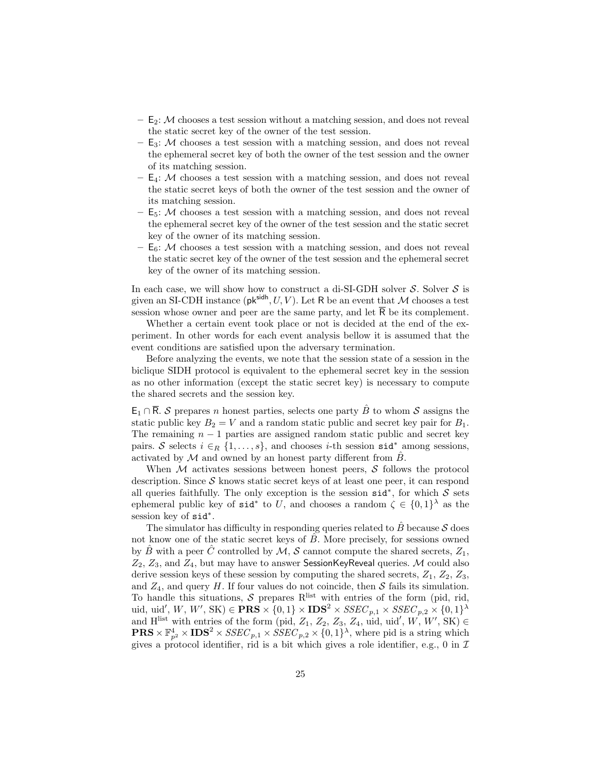- $-$  E<sub>2</sub>:  $M$  chooses a test session without a matching session, and does not reveal the static secret key of the owner of the test session.
- **–** E3: *M* chooses a test session with a matching session, and does not reveal the ephemeral secret key of both the owner of the test session and the owner of its matching session.
- **–** E4: *M* chooses a test session with a matching session, and does not reveal the static secret keys of both the owner of the test session and the owner of its matching session.
- $-$  E<sub>5</sub>: M chooses a test session with a matching session, and does not reveal the ephemeral secret key of the owner of the test session and the static secret key of the owner of its matching session.
- $E_6$ : *M* chooses a test session with a matching session, and does not reveal the static secret key of the owner of the test session and the ephemeral secret key of the owner of its matching session.

In each case, we will show how to construct a di-SI-GDH solver *S*. Solver *S* is given an SI-CDH instance ( $p\mathbf{k}^{\text{sidh}}, U, V$ ). Let R be an event that M chooses a test session whose owner and peer are the same party, and let  $\overline{R}$  be its complement.

Whether a certain event took place or not is decided at the end of the experiment. In other words for each event analysis bellow it is assumed that the event conditions are satisfied upon the adversary termination.

Before analyzing the events, we note that the session state of a session in the biclique SIDH protocol is equivalent to the ephemeral secret key in the session as no other information (except the static secret key) is necessary to compute the shared secrets and the session key.

 $E_1 \cap \overline{R}$ . *S* prepares *n* honest parties, selects one party *B* to whom *S* assigns the static public key  $B_2 = V$  and a random static public and secret key pair for  $B_1$ . The remaining  $n-1$  parties are assigned random static public and secret key pairs. *S* selects  $i \in_R \{1, \ldots, s\}$ , and chooses *i*-th session sid<sup>\*</sup> among sessions, activated by  $M$  and owned by an honest party different from  $\tilde{B}$ .

When *M* activates sessions between honest peers, *S* follows the protocol description. Since *S* knows static secret keys of at least one peer, it can respond all queries faithfully. The only exception is the session sid*<sup>∗</sup>* , for which *S* sets ephemeral public key of  $\text{sid}^*$  to *U*, and chooses a random  $\zeta \in \{0,1\}^{\lambda}$  as the session key of sid*<sup>∗</sup>* .

The simulator has difficulty in responding queries related to  $\hat{B}$  because  $S$  does not know one of the static secret keys of  $\hat{B}$ . More precisely, for sessions owned by  $\hat{B}$  with a peer  $\hat{C}$  controlled by  $\mathcal{M}, \mathcal{S}$  cannot compute the shared secrets,  $Z_1$ , *Z*2, *Z*3, and *Z*4, but may have to answer SessionKeyReveal queries. *M* could also derive session keys of these session by computing the shared secrets,  $Z_1$ ,  $Z_2$ ,  $Z_3$ , and  $Z_4$ , and query *H*. If four values do not coincide, then  $S$  fails its simulation. To handle this situations,  $S$  prepares  $R^{\text{list}}$  with entries of the form (pid, rid,  $\text{uid}, \text{uid}', W, W', \text{SK}) \in \text{PRS} \times \{0, 1\} \times \text{IDS}^2 \times \text{SSEC}_{p,1} \times \text{SSEC}_{p,2} \times \{0, 1\}^{\lambda}$ and  $H^{list}$  with entries of the form (pid,  $Z_1$ ,  $Z_2$ ,  $Z_3$ ,  $Z_4$ , uid, uid',  $W$ ,  $W'$ , SK)  $\in$  $\mathbf{PRS} \times \mathbb{F}_{p^2}^4 \times \mathbf{IDS}^2 \times \mathit{SSEC}_{p,1} \times \mathit{SSEC}_{p,2} \times \{0,1\}^{\lambda}$ , where pid is a string which gives a protocol identifier, rid is a bit which gives a role identifier, e.g., 0 in *I*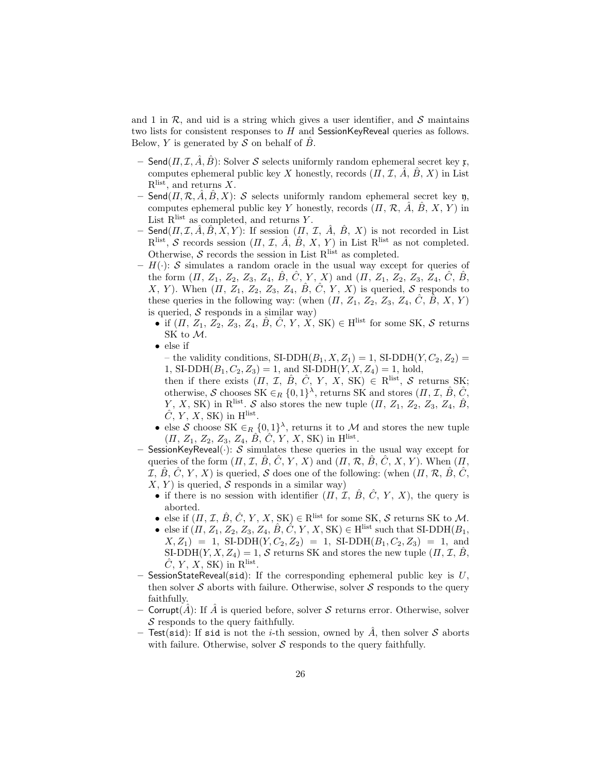and 1 in  $\mathcal{R}$ , and uid is a string which gives a user identifier, and  $\mathcal{S}$  maintains two lists for consistent responses to *H* and SessionKeyReveal queries as follows. Below, *Y* is generated by *S* on behalf of  $\ddot{B}$ .

- $-$  Send $(\Pi, \mathcal{I}, \hat{A}, \hat{B})$ : Solver *S* selects uniformly random ephemeral secret key x, computes ephemeral public key *X* honestly, records  $(\Pi, \mathcal{I}, \hat{A}, \hat{B}, X)$  in List Rlist, and returns *X*.
- $\mathsf{Send}(H,\mathcal{R},\hat{A},\hat{B},X)$ : *S* selects uniformly random ephemeral secret key n, computes ephemeral public key *Y* honestly, records  $(\Pi, \mathcal{R}, \hat{A}, \hat{B}, X, Y)$  in List R<sup>list</sup> as completed, and returns *Y*.
- $-$  Send $(\Pi, \mathcal{I}, \hat{A}, \hat{B}, X, Y)$ : If session  $(\Pi, \mathcal{I}, \hat{A}, \hat{B}, X)$  is not recorded in List  $R^{\text{list}}$ , *S* records session  $(\Pi, \mathcal{I}, \hat{A}, \hat{B}, X, Y)$  in List  $R^{\text{list}}$  as not completed. Otherwise,  $S$  records the session in List  $R^{\text{list}}$  as completed.
- $H(\cdot):$  *S* simulates a random oracle in the usual way except for queries of the form  $(\Pi, Z_1, Z_2, Z_3, Z_4, \hat{B}, \hat{C}, Y, X)$  and  $(\Pi, Z_1, Z_2, Z_3, Z_4, \hat{C}, \hat{B},$ *X*, *Y*). When  $(\Pi, Z_1, Z_2, Z_3, Z_4, \hat{B}, \hat{C}, Y, X)$  is queried, *S* responds to these queries in the following way: (when  $(\Pi, Z_1, Z_2, Z_3, Z_4, \hat{C}, \hat{B}, X, Y)$ is queried,  $S$  responds in a similar way)
	- $\bullet$  if  $(\Pi, Z_1, Z_2, Z_3, Z_4, \hat{B}, \hat{C}, Y, X, \hat{S}K) \in H^{\text{list}}$  for some SK, *S* returns SK to *M*.
	- *•* else if

– the validity conditions, SI-DDH $(B_1, X, Z_1) = 1$ , SI-DDH $(Y, C_2, Z_2) =$ 1, SI-DDH $(B_1, C_2, Z_3) = 1$ , and SI-DDH $(Y, X, Z_4) = 1$ , hold,

then if there exists  $(H, \mathcal{I}, \hat{B}, \hat{C}, Y, X, SK) \in \mathbb{R}^{\text{list}}$ , *S* returns SK; otherwise, *S* chooses  $SK \in_R \{0,1\}^{\lambda}$ , returns SK and stores  $(\Pi, \mathcal{I}, \hat{B}, \hat{C})$ , *Y*, *X*, *SK*) in  $R^{\text{list}}$ . *S* also stores the new tuple  $(\Pi, Z_1, Z_2, Z_3, Z_4, \hat{B})$  $\hat{C}$ , *Y*, *X*, *SK*) in H<sup>list</sup>.

- else *S* choose SK  $\in$ *R*  $\{0,1\}$ <sup> $\lambda$ </sup>, returns it to *M* and stores the new tuple  $(H, Z_1, Z_2, Z_3, Z_4, \hat{B}, \hat{C}, Y, X, SK)$  in H<sup>list</sup>.
- **–** SessionKeyReveal(*·*): *S* simulates these queries in the usual way except for queries of the form (*Π*, *I*, *B*ˆ, *C*ˆ, *Y* , *X*) and (*Π*, *R*, *B*ˆ, *C*ˆ, *X*, *Y* ). When (*Π*, *I*,  $\hat{B}$ ,  $\hat{C}$ , *Y*, *X*) is queried, *S* does one of the following: (when  $(\Pi, \mathcal{R}, \hat{B}, \hat{C})$ ,  $X, Y$  is queried, *S* responds in a similar way)
	- if there is no session with identifier  $(\Pi, \mathcal{I}, \hat{B}, \hat{C}, Y, X)$ , the query is aborted.
	- else if  $(\Pi, \mathcal{I}, \hat{B}, \hat{C}, Y, X, SK) \in \mathbb{R}^{\text{list}}$  for some SK, *S* returns SK to *M*.
	- else if  $(H, Z_1, Z_2, Z_3, Z_4, \hat{B}, \hat{C}, Y, X, SK) \in H^{\text{list}}$  such that SI-DDH( $B_1$ ,  $(X, Z_1) = 1$ , SI-DDH $(Y, C_2, Z_2) = 1$ , SI-DDH $(B_1, C_2, Z_3) = 1$ , and SI-DDH(*Y, X, Z*<sub>4</sub>) = 1, *S* returns SK and stores the new tuple  $(\Pi, \mathcal{I}, \hat{B})$ ,  $\hat{C}$ , *Y*, *X*, *SK*) in R<sup>list</sup>.
- **–** SessionStateReveal(sid): If the corresponding ephemeral public key is *U*, then solver  $S$  aborts with failure. Otherwise, solver  $S$  responds to the query faithfully.
- **–** Corrupt(*A*ˆ): If *A*ˆ is queried before, solver *S* returns error. Otherwise, solver *S* responds to the query faithfully.
- **–** Test(sid): If sid is not the *i*-th session, owned by *A*ˆ, then solver *S* aborts with failure. Otherwise, solver  $S$  responds to the query faithfully.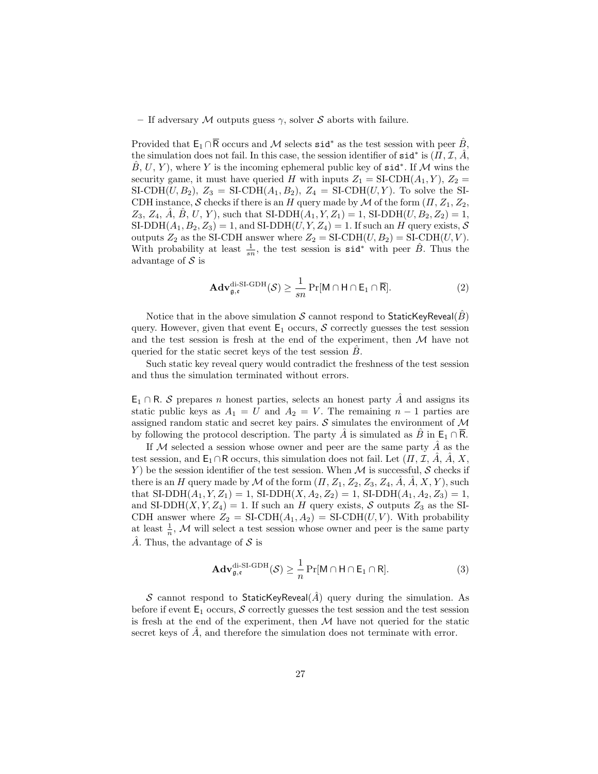**–** If adversary *M* outputs guess *γ*, solver *S* aborts with failure.

Provided that  $E_1 \cap \overline{R}$  occurs and *M* selects sid<sup>\*</sup> as the test session with peer  $\hat{B}$ , the simulation does not fail. In this case, the session identifier of  $\text{sid}^*$  is  $(\hat{\Pi}, \mathcal{I}, \hat{A})$ ,  $\hat{B}$ , *U*, *Y*), where *Y* is the incoming ephemeral public key of sid<sup>\*</sup>. If *M* wins the security game, it must have queried *H* with inputs  $Z_1 = \text{SI-CDH}(A_1, Y), Z_2 =$  $SL \text{CDH}(U, B_2)$ ,  $Z_3 = SL \text{CDH}(A_1, B_2)$ ,  $Z_4 = SL \text{CDH}(U, Y)$ . To solve the SI-CDH instance, *S* checks if there is an *H* query made by *M* of the form  $(\Pi, Z_1, Z_2,$  $Z_3, Z_4, \hat{A}, \hat{B}, U, Y$ , such that SI-DDH $(A_1, Y, Z_1) = 1$ , SI-DDH $(U, B_2, Z_2) = 1$ ,  $S\text{I-DDH}(A_1, B_2, Z_3) = 1$ , and  $S\text{I-DDH}(U, Y, Z_4) = 1$ . If such an *H* query exists, *S* outputs  $Z_2$  as the SI-CDH answer where  $Z_2 =$  SI-CDH $(U, B_2) =$  SI-CDH $(U, V)$ . With probability at least  $\frac{1}{sn}$ , the test session is  $\text{sid}^*$  with peer  $\hat{B}$ . Thus the advantage of *S* is

$$
\mathbf{Adv}_{g,e}^{\text{di-SI-GDH}}(\mathcal{S}) \ge \frac{1}{sn} \Pr[\mathsf{M} \cap \mathsf{H} \cap \mathsf{E}_1 \cap \overline{\mathsf{R}}].\tag{2}
$$

Notice that in the above simulation *S* cannot respond to StaticKeyReveal(*B*) query. However, given that event  $E_1$  occurs,  $S$  correctly guesses the test session and the test session is fresh at the end of the experiment, then *M* have not queried for the static secret keys of the test session  $\ddot{B}$ .

Such static key reveal query would contradict the freshness of the test session and thus the simulation terminated without errors.

 $E_1 \cap R$ . *S* prepares *n* honest parties, selects an honest party  $\hat{A}$  and assigns its static public keys as  $A_1 = U$  and  $A_2 = V$ . The remaining  $n-1$  parties are assigned random static and secret key pairs. *S* simulates the environment of *M* by following the protocol description. The party  $\hat{A}$  is simulated as  $\hat{B}$  in  $\mathsf{E}_1 \cap \overline{\mathsf{R}}$ .

If  $M$  selected a session whose owner and peer are the same party  $\hat{A}$  as the test session, and  $E_1 \cap R$  occurs, this simulation does not fail. Let  $(\Pi, \mathcal{I}, \hat{A}, \hat{A}, X, \hat{A})$ *Y*) be the session identifier of the test session. When *M* is successful, *S* checks if there is an *H* query made by *M* of the form  $(\Pi, Z_1, Z_2, Z_3, Z_4, \hat{A}, \hat{A}, X, Y)$ , such that SI-DDH $(A_1, Y, Z_1) = 1$ , SI-DDH $(X, A_2, Z_2) = 1$ , SI-DDH $(A_1, A_2, Z_3) = 1$ , and SI-DDH $(X, Y, Z_4) = 1$ . If such an *H* query exists, *S* outputs  $Z_3$  as the SI-CDH answer where  $Z_2 = \text{SI-CDH}(A_1, A_2) = \text{SI-CDH}(U, V)$ . With probability at least  $\frac{1}{n}$ , *M* will select a test session whose owner and peer is the same party  $\hat{A}$ . Thus, the advantage of  $S$  is

$$
\mathbf{Adv}_{g,\mathfrak{e}}^{\text{di-SI-GDH}}(\mathcal{S}) \ge \frac{1}{n} \Pr[\mathsf{M} \cap \mathsf{H} \cap \mathsf{E}_1 \cap \mathsf{R}].\tag{3}
$$

*S* cannot respond to StaticKeyReveal( $\hat{A}$ ) query during the simulation. As before if event  $E_1$  occurs,  $S$  correctly guesses the test session and the test session is fresh at the end of the experiment, then *M* have not queried for the static secret keys of  $\tilde{A}$ , and therefore the simulation does not terminate with error.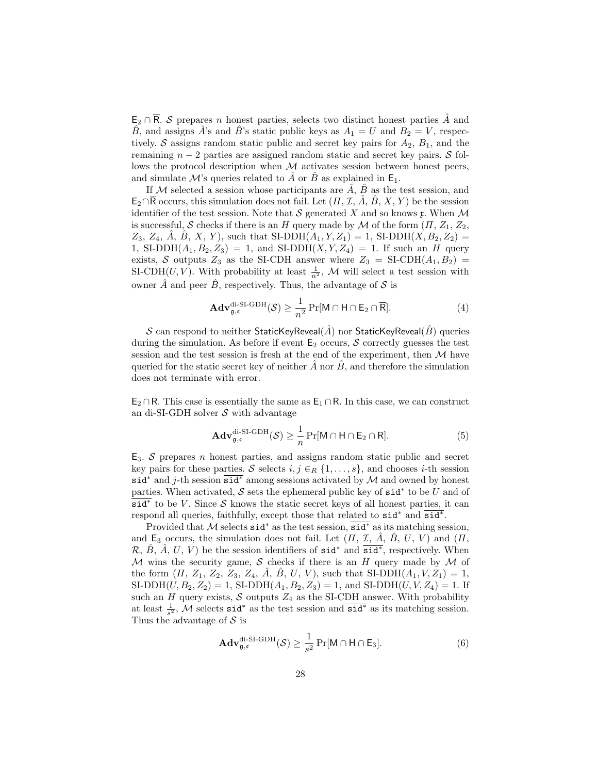$E_2 \cap \overline{R}$ . *S* prepares *n* honest parties, selects two distinct honest parties  $\hat{A}$  and *B*, and assigns *A*'s and *B*'s static public keys as  $A_1 = U$  and  $B_2 = V$ , respectively.  $S$  assigns random static public and secret key pairs for  $A_2$ ,  $B_1$ , and the remaining *n −* 2 parties are assigned random static and secret key pairs. *S* follows the protocol description when *M* activates session between honest peers, and simulate  $\mathcal{M}$ 's queries related to  $\hat{A}$  or  $\hat{B}$  as explained in  $\mathsf{E}_1$ .

If  $M$  selected a session whose participants are  $\hat{A}$ ,  $\hat{B}$  as the test session, and  $E_2 \cap \overline{R}$  occurs, this simulation does not fail. Let  $(\Pi, \mathcal{I}, \hat{A}, \hat{B}, X, Y)$  be the session identifier of the test session. Note that  $S$  generated  $X$  and so knows  $\mathfrak x$ . When  $\mathcal M$ is successful, *S* checks if there is an *H* query made by *M* of the form  $(\Pi, Z_1, Z_2,$  $Z_3, Z_4, \hat{A}, \hat{B}, X, Y$ , such that SI-DDH $(A_1, Y, Z_1) = 1$ , SI-DDH $(X, B_2, Z_2) =$ 1, SI-DDH $(A_1, B_2, Z_3) = 1$ , and SI-DDH $(X, Y, Z_4) = 1$ . If such an *H* query exists, *S* outputs  $Z_3$  as the SI-CDH answer where  $Z_3 = \text{SI-CDH}(A_1, B_2) =$ SI-CDH(*U, V*). With probability at least  $\frac{1}{n^2}$ , *M* will select a test session with owner  $\hat{A}$  and peer  $\hat{B}$ , respectively. Thus, the advantage of  $S$  is

$$
\mathbf{Adv}_{\mathfrak{g},\mathfrak{e}}^{\text{di-SI-GDH}}(\mathcal{S}) \ge \frac{1}{n^2} \Pr[\mathsf{M} \cap \mathsf{H} \cap \mathsf{E}_2 \cap \overline{\mathsf{R}}].\tag{4}
$$

*S* can respond to neither StaticKeyReveal( $\hat{A}$ ) nor StaticKeyReveal( $\hat{B}$ ) queries during the simulation. As before if event  $E_2$  occurs,  $S$  correctly guesses the test session and the test session is fresh at the end of the experiment, then *M* have queried for the static secret key of neither  $\hat{A}$  nor  $\hat{B}$ , and therefore the simulation does not terminate with error.

E<sup>2</sup> *∩*R. This case is essentially the same as E<sup>1</sup> *∩*R. In this case, we can construct an di-SI-GDH solver *S* with advantage

$$
\mathbf{Adv}_{g,e}^{\text{di-SI-GDH}}(\mathcal{S}) \ge \frac{1}{n} \Pr[\mathsf{M} \cap \mathsf{H} \cap \mathsf{E}_2 \cap \mathsf{R}].\tag{5}
$$

E3. *S* prepares *n* honest parties, and assigns random static public and secret key pairs for these parties. *S* selects  $i, j \in_R \{1, \ldots, s\}$ , and chooses *i*-th session sid<sup>∗</sup> and *j*-th session sid<sup>∗</sup> among sessions activated by *M* and owned by honest parties. When activated, *S* sets the ephemeral public key of sid*<sup>∗</sup>* to be *U* and of sid<sup>\*</sup> to be *V*. Since *S* knows the static secret keys of all honest parties, it can respond all queries, faithfully, except those that related to sid<sup>\*</sup> and sid<sup>\*</sup>.

Provided that *M* selects sid<sup>∗</sup> as the test session, sid<sup>∗</sup> as its matching session, and  $E_3$  occurs, the simulation does not fail. Let  $(\Pi, \mathcal{I}, \hat{A}, \hat{B}, U, V)$  and  $(\Pi, \Pi, \hat{B})$  $\mathcal{R}, \hat{B}, \hat{A}, U, V$  be the session identifiers of sid<sup>\*</sup> and  $\overline{\text{sid}^*}$ , respectively. When *M* wins the security game, *S* checks if there is an *H* query made by *M* of the form  $(\Pi, Z_1, Z_2, Z_3, Z_4, \overline{A}, \overline{B}, U, V)$ , such that SI-DDH $(A_1, V, Z_1) = 1$ ,  $SL$ -DDH $(U, B_2, Z_2) = 1$ ,  $SL$ -DDH $(A_1, B_2, Z_3) = 1$ , and  $SL$ -DDH $(U, V, Z_4) = 1$ . If such an *H* query exists,  $S$  outputs  $Z_4$  as the SI-CDH answer. With probability at least  $\frac{1}{s^2}$ , *M* selects sid<sup>\*</sup> as the test session and  $\overline{\text{sid}}^*$  as its matching session. Thus the advantage of *S* is

$$
\mathbf{Adv}_{g,e}^{\text{di-SI-GDH}}(\mathcal{S}) \ge \frac{1}{s^2} \Pr[\mathsf{M} \cap \mathsf{H} \cap \mathsf{E}_3].\tag{6}
$$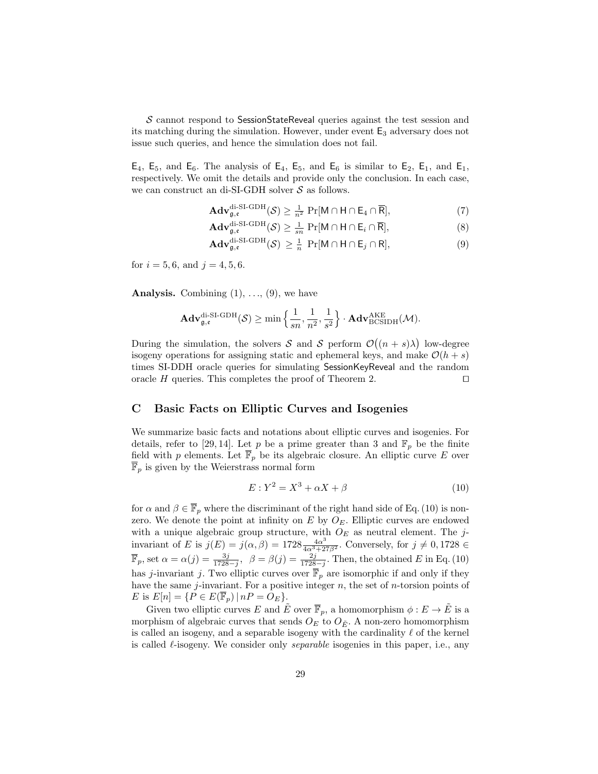*S* cannot respond to SessionStateReveal queries against the test session and its matching during the simulation. However, under event  $E_3$  adversary does not issue such queries, and hence the simulation does not fail.

 $E_4$ ,  $E_5$ , and  $E_6$ . The analysis of  $E_4$ ,  $E_5$ , and  $E_6$  is similar to  $E_2$ ,  $E_1$ , and  $E_1$ , respectively. We omit the details and provide only the conclusion. In each case, we can construct an di-SI-GDH solver *S* as follows.

$$
\mathbf{Adv}_{\mathfrak{g},\mathfrak{e}}^{\text{di-SI-GDH}}(\mathcal{S}) \ge \frac{1}{n^2} \Pr[\mathsf{M} \cap \mathsf{H} \cap \mathsf{E}_4 \cap \overline{\mathsf{R}}],\tag{7}
$$

$$
\mathbf{Adv}_{g,e}^{\text{di-SI-GDH}}(\mathcal{S}) \ge \frac{1}{sn} \Pr[\mathsf{M} \cap \mathsf{H} \cap \mathsf{E}_i \cap \overline{\mathsf{R}}],\tag{8}
$$

$$
\mathbf{Adv}_{\mathfrak{g},\mathfrak{e}}^{\text{di-SI-GDH}}(\mathcal{S}) \geq \frac{1}{n} \Pr[\mathsf{M} \cap \mathsf{H} \cap \mathsf{E}_j \cap \mathsf{R}],\tag{9}
$$

for  $i = 5, 6$ , and  $j = 4, 5, 6$ .

**Analysis.** Combining  $(1), \ldots, (9)$ , we have

$$
\mathbf{Adv}_{\mathfrak{g},\mathfrak{e}}^{\text{di-SI-GDH}}(\mathcal{S}) \ge \min\left\{\frac{1}{sn},\frac{1}{n^2},\frac{1}{s^2}\right\} \cdot \mathbf{Adv}_{\text{BCSIDH}}^{\text{AKE}}(\mathcal{M}).
$$

During the simulation, the solvers *S* and *S* perform  $\mathcal{O}((n+s)\lambda)$  low-degree isogeny operations for assigning static and ephemeral keys, and make  $\mathcal{O}(h+s)$ times SI-DDH oracle queries for simulating SessionKeyReveal and the random oracle *H* queries. This completes the proof of Theorem 2. *⊓⊔*

### **C Basic Facts on Elliptic Curves and Isogenies**

We summarize basic facts and notations about elliptic curves and isogenies. For details, refer to [29, 14]. Let p be a prime greater than 3 and  $\mathbb{F}_p$  be the finite field with *p* elements. Let  $\overline{\mathbb{F}}_p$  be its algebraic closure. An elliptic curve *E* over  $\mathbb{F}_p$  is given by the Weierstrass normal form

$$
E: Y^2 = X^3 + \alpha X + \beta \tag{10}
$$

for  $\alpha$  and  $\beta \in \overline{\mathbb{F}}_p$  where the discriminant of the right hand side of Eq. (10) is nonzero. We denote the point at infinity on  $E$  by  $O_E$ . Elliptic curves are endowed with a unique algebraic group structure, with *O<sup>E</sup>* as neutral element. The *j*invariant of *E* is  $j(E) = j(\alpha, \beta) = 1728 \frac{4\alpha^3}{4\alpha^3 + 27\beta^2}$ . Conversely, for  $j \neq 0, 1728 \in$  $\overline{\mathbb{F}}_p$ , set  $\alpha = \alpha(j) = \frac{3j}{1728 - j}$ ,  $\beta = \beta(j) = \frac{2j}{1728 - j}$ . Then, the obtained *E* in Eq. (10) has *j*-invariant *j*. Two elliptic curves over  $\overline{\mathbb{F}}_p$  are isomorphic if and only if they have the same *j*-invariant. For a positive integer *n*, the set of *n*-torsion points of *E* is  $E[n] = {P \in E(\overline{\mathbb{F}}_p) | nP = O_E}.$ 

Given two elliptic curves *E* and  $\tilde{E}$  over  $\overline{\mathbb{F}}_p$ , a homomorphism  $\phi : E \to \tilde{E}$  is a morphism of algebraic curves that sends  $O_E$  to  $O_{\tilde{E}}$ . A non-zero homomorphism is called an isogeny, and a separable isogeny with the cardinality *ℓ* of the kernel is called *ℓ*-isogeny. We consider only *separable* isogenies in this paper, i.e., any